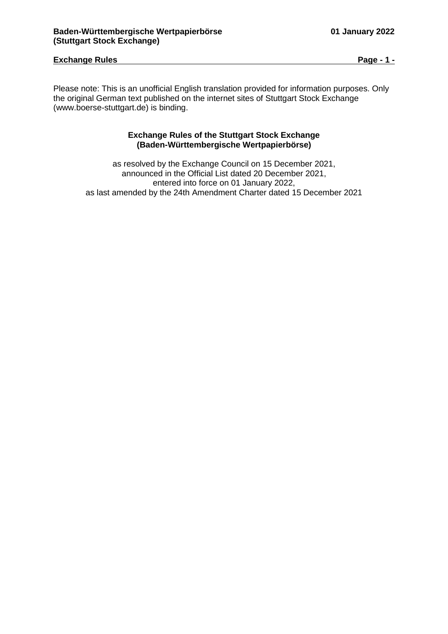# **Exchange Rules Page -1 -**

Please note: This is an unofficial English translation provided for information purposes. Only the original German text published on the internet sites of Stuttgart Stock Exchange (www.boerse-stuttgart.de) is binding.

# **Exchange Rules of the Stuttgart Stock Exchange (Baden-Württembergische Wertpapierbörse)**

as resolved by the Exchange Council on 15 December 2021, announced in the Official List dated 20 December 2021, entered into force on 01 January 2022, as last amended by the 24th Amendment Charter dated 15 December 2021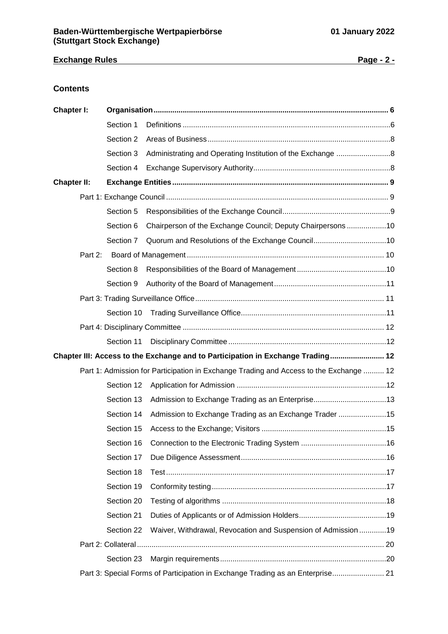# **Exchange Rules Page - 2 -**

# **Contents**

| Chapter I:         |            |                                                                                        |  |  |
|--------------------|------------|----------------------------------------------------------------------------------------|--|--|
|                    | Section 1  |                                                                                        |  |  |
|                    | Section 2  |                                                                                        |  |  |
|                    | Section 3  |                                                                                        |  |  |
|                    | Section 4  |                                                                                        |  |  |
| <b>Chapter II:</b> |            |                                                                                        |  |  |
|                    |            |                                                                                        |  |  |
|                    | Section 5  |                                                                                        |  |  |
|                    | Section 6  | Chairperson of the Exchange Council; Deputy Chairpersons10                             |  |  |
|                    | Section 7  |                                                                                        |  |  |
| Part 2:            |            |                                                                                        |  |  |
|                    | Section 8  |                                                                                        |  |  |
|                    | Section 9  |                                                                                        |  |  |
|                    |            |                                                                                        |  |  |
|                    |            |                                                                                        |  |  |
|                    |            |                                                                                        |  |  |
|                    | Section 11 |                                                                                        |  |  |
|                    |            | Chapter III: Access to the Exchange and to Participation in Exchange Trading 12        |  |  |
|                    |            | Part 1: Admission for Participation in Exchange Trading and Access to the Exchange  12 |  |  |
|                    | Section 12 |                                                                                        |  |  |
|                    | Section 13 |                                                                                        |  |  |
|                    | Section 14 | Admission to Exchange Trading as an Exchange Trader 15                                 |  |  |
|                    | Section 15 |                                                                                        |  |  |
|                    |            |                                                                                        |  |  |
|                    | Section 17 |                                                                                        |  |  |
|                    | Section 18 |                                                                                        |  |  |
|                    | Section 19 |                                                                                        |  |  |
|                    | Section 20 |                                                                                        |  |  |
|                    | Section 21 |                                                                                        |  |  |
|                    | Section 22 | Waiver, Withdrawal, Revocation and Suspension of Admission 19                          |  |  |
|                    |            |                                                                                        |  |  |
|                    | Section 23 |                                                                                        |  |  |
|                    |            | Part 3: Special Forms of Participation in Exchange Trading as an Enterprise 21         |  |  |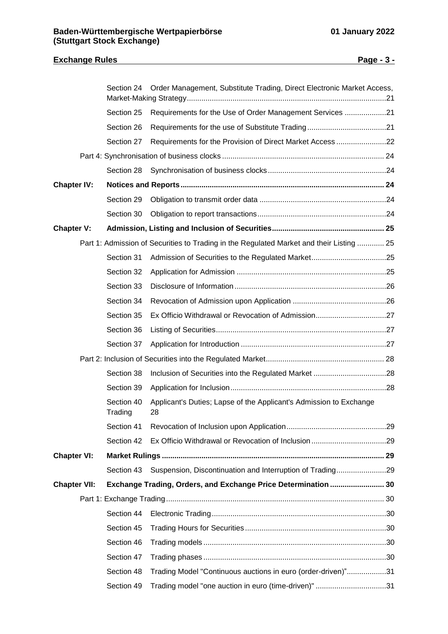# **Exchange Rules Page - 3 -** Section 24 [Order Management, Substitute Trading, Direct Electronic Market Access,](#page-20-1)  [Market-Making Strategy................................................................................................21](#page-20-1) Section 25 [Requirements for the Use of Order Management Services](#page-20-2) ....................21 Section 26 [Requirements for the use of Substitute Trading](#page-20-3) ......................................21 Section 27 [Requirements for the Provision of Direct Market Access](#page-21-0) ........................22 Part 4: Synchronisation of business clocks [..............................................................................](#page-23-0) 24 Section 28 [Synchronisation of business clocks.........................................................24](#page-23-1) **Chapter IV: Notices and Reports [..................................................................................................](#page-23-2) 24** Section 29 Obligation to transmit order data [.............................................................24](#page-23-3) Section 30 [Obligation to report transactions..............................................................24](#page-23-4) **Chapter V: [Admission, Listing and Inclusion of Securities......................................................](#page-24-0) 25** [Part 1: Admission of Securities to Trading in the Regulated Market and their Listing](#page-24-1) ............. 25 Section 31 Admission [of Securities to the Regulated Market....................................25](#page-24-2) Section 32 Application for Admission [........................................................................25](#page-24-3) Section 33 Disclosure of Information [.........................................................................26](#page-25-0) Section 34 [Revocation of Admission upon Application](#page-25-1) .............................................26 Section 35 [Ex Officio Withdrawal or Revocation of Admission..................................27](#page-26-0) Section 36 [Listing of Securities..................................................................................27](#page-26-1) Section 37 Application for Introduction [......................................................................27](#page-26-2) [Part 2: Inclusion of Securities into the Regulated Market.........................................................](#page-27-0) 28 Section 38 [Inclusion of Securities into the Regulated Market](#page-27-1) ...................................28 Section 39 [Application for Inclusion...........................................................................28](#page-27-2) Section 40 [Applicant's Duties; Lapse of the Applicant's Admission to Exchange](#page-27-3)  [Trading](#page-27-3) 28 Section 41 [Revocation of Inclusion upon Application................................................29](#page-28-0) Section 42 [Ex Officio Withdrawal or Revocation of Inclusion](#page-28-1) ....................................29 **Chapter VI: Market Rulings [...........................................................................................................](#page-28-2) 29** Section 43 [Suspension, Discontinuation and Interruption of Trading........................29](#page-28-3) **[Chapter VII: Exchange Trading, Orders, and Exchange Price Determination](#page-29-0) .......................... 30** [Part 1: Exchange Trading.........................................................................................................](#page-29-1) 30 Section 44 [Electronic Trading....................................................................................30](#page-29-2) Section 45 Trading Hours for Securities [....................................................................30](#page-29-3) Section 46 Trading models [........................................................................................30](#page-29-4) Section 47 Trading phases [........................................................................................30](#page-29-5) Section 48 [Trading Model "Continuous auctions in euro \(order-driven\)"...................31](#page-30-0) Section 49 [Trading model "one auction in euro \(time-driven\)"](#page-30-1) ..................................31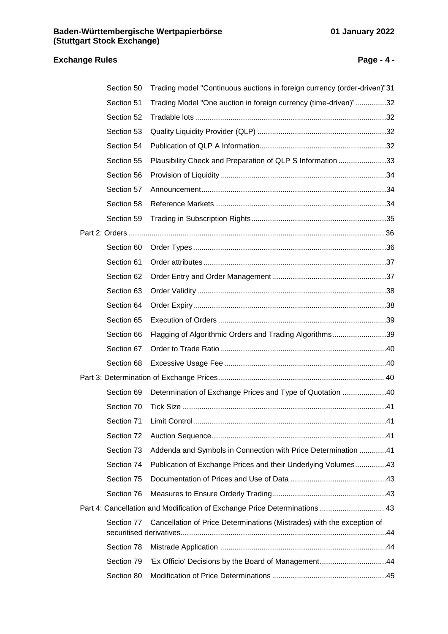# **Exchange Rules Page - 4 -**

| Section 50 | Trading model "Continuous auctions in foreign currency (order-driven)"31   |  |
|------------|----------------------------------------------------------------------------|--|
| Section 51 | Trading Model "One auction in foreign currency (time-driven)"32            |  |
| Section 52 |                                                                            |  |
| Section 53 |                                                                            |  |
| Section 54 |                                                                            |  |
| Section 55 | Plausibility Check and Preparation of QLP S Information 33                 |  |
| Section 56 |                                                                            |  |
| Section 57 |                                                                            |  |
| Section 58 |                                                                            |  |
| Section 59 |                                                                            |  |
|            |                                                                            |  |
| Section 60 |                                                                            |  |
| Section 61 |                                                                            |  |
| Section 62 |                                                                            |  |
| Section 63 |                                                                            |  |
| Section 64 |                                                                            |  |
| Section 65 |                                                                            |  |
| Section 66 | Flagging of Algorithmic Orders and Trading Algorithms39                    |  |
| Section 67 |                                                                            |  |
| Section 68 |                                                                            |  |
|            |                                                                            |  |
| Section 69 | Determination of Exchange Prices and Type of Quotation 40                  |  |
| Section 70 |                                                                            |  |
|            |                                                                            |  |
| Section 72 |                                                                            |  |
| Section 73 | Addenda and Symbols in Connection with Price Determination 41              |  |
| Section 74 | Publication of Exchange Prices and their Underlying Volumes43              |  |
| Section 75 |                                                                            |  |
| Section 76 |                                                                            |  |
|            | Part 4: Cancellation and Modification of Exchange Price Determinations  43 |  |
| Section 77 | Cancellation of Price Determinations (Mistrades) with the exception of     |  |
| Section 78 |                                                                            |  |
| Section 79 | 'Ex Officio' Decisions by the Board of Management44                        |  |
| Section 80 |                                                                            |  |
|            |                                                                            |  |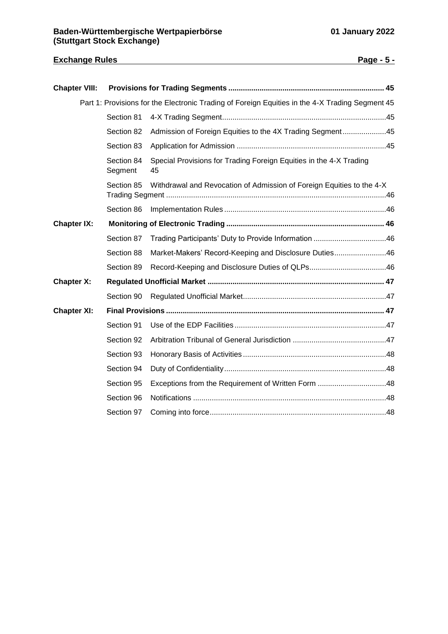# **Exchange Rules Page - 5 -**

| <b>Chapter VIII:</b> |                       |                                                                                                 |  |
|----------------------|-----------------------|-------------------------------------------------------------------------------------------------|--|
|                      |                       | Part 1: Provisions for the Electronic Trading of Foreign Equities in the 4-X Trading Segment 45 |  |
|                      | Section 81            |                                                                                                 |  |
|                      | Section 82            | Admission of Foreign Equities to the 4X Trading Segment45                                       |  |
|                      | Section 83            |                                                                                                 |  |
|                      | Section 84<br>Segment | Special Provisions for Trading Foreign Equities in the 4-X Trading<br>45                        |  |
|                      | Section 85            | Withdrawal and Revocation of Admission of Foreign Equities to the 4-X                           |  |
|                      | Section 86            |                                                                                                 |  |
| <b>Chapter IX:</b>   |                       |                                                                                                 |  |
|                      | Section 87            |                                                                                                 |  |
|                      | Section 88            | Market-Makers' Record-Keeping and Disclosure Duties46                                           |  |
|                      | Section 89            |                                                                                                 |  |
| <b>Chapter X:</b>    |                       |                                                                                                 |  |
|                      | Section 90            |                                                                                                 |  |
| <b>Chapter XI:</b>   |                       |                                                                                                 |  |
|                      | Section 91            |                                                                                                 |  |
|                      | Section 92            |                                                                                                 |  |
|                      | Section 93            |                                                                                                 |  |
|                      | Section 94            |                                                                                                 |  |
|                      | Section 95            |                                                                                                 |  |
|                      | Section 96            |                                                                                                 |  |
|                      | Section 97            |                                                                                                 |  |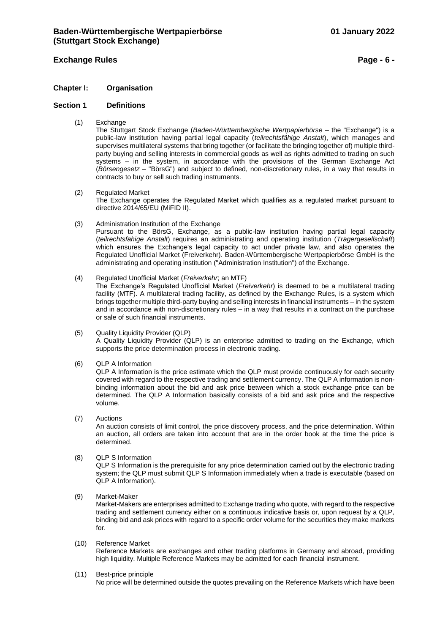# **Exchange Rules Page - 6 -**

#### <span id="page-5-0"></span>**Chapter I: Organisation**

#### <span id="page-5-1"></span>**Section 1 Definitions**

(1) Exchange

The Stuttgart Stock Exchange (*Baden-Württembergische Wertpapierbörse* – the "Exchange") is a public-law institution having partial legal capacity (*teilrechtsfähige Anstalt*), which manages and supervises multilateral systems that bring together (or facilitate the bringing together of) multiple thirdparty buying and selling interests in commercial goods as well as rights admitted to trading on such systems – in the system, in accordance with the provisions of the German Exchange Act (*Börsengesetz* – "BörsG") and subject to defined, non-discretionary rules, in a way that results in contracts to buy or sell such trading instruments.

(2) Regulated Market

The Exchange operates the Regulated Market which qualifies as a regulated market pursuant to directive 2014/65/EU (MiFID II).

- (3) Administration Institution of the Exchange Pursuant to the BörsG, Exchange, as a public-law institution having partial legal capacity (*teilrechtsfähige Anstalt*) requires an administrating and operating institution (*Trägergesellschaft*) which ensures the Exchange's legal capacity to act under private law, and also operates the Regulated Unofficial Market (Freiverkehr). Baden-Württembergische Wertpapierbörse GmbH is the administrating and operating institution ("Administration Institution") of the Exchange.
- (4) Regulated Unofficial Market (*Freiverkehr*; an MTF) The Exchange's Regulated Unofficial Market (*Freiverkehr*) is deemed to be a multilateral trading facility (MTF). A multilateral trading facility, as defined by the Exchange Rules, is a system which brings together multiple third-party buying and selling interests in financial instruments – in the system and in accordance with non-discretionary rules – in a way that results in a contract on the purchase or sale of such financial instruments.
- (5) Quality Liquidity Provider (QLP) A Quality Liquidity Provider (QLP) is an enterprise admitted to trading on the Exchange, which supports the price determination process in electronic trading.
- (6) QLP A Information

QLP A Information is the price estimate which the QLP must provide continuously for each security covered with regard to the respective trading and settlement currency. The QLP A information is nonbinding information about the bid and ask price between which a stock exchange price can be determined. The QLP A Information basically consists of a bid and ask price and the respective volume.

(7) Auctions

An auction consists of limit control, the price discovery process, and the price determination. Within an auction, all orders are taken into account that are in the order book at the time the price is determined.

(8) QLP S Information

QLP S Information is the prerequisite for any price determination carried out by the electronic trading system; the QLP must submit QLP S Information immediately when a trade is executable (based on QLP A Information).

(9) Market-Maker

Market-Makers are enterprises admitted to Exchange trading who quote, with regard to the respective trading and settlement currency either on a continuous indicative basis or, upon request by a QLP, binding bid and ask prices with regard to a specific order volume for the securities they make markets for.

(10) Reference Market

Reference Markets are exchanges and other trading platforms in Germany and abroad, providing high liquidity. Multiple Reference Markets may be admitted for each financial instrument.

(11) Best-price principle

No price will be determined outside the quotes prevailing on the Reference Markets which have been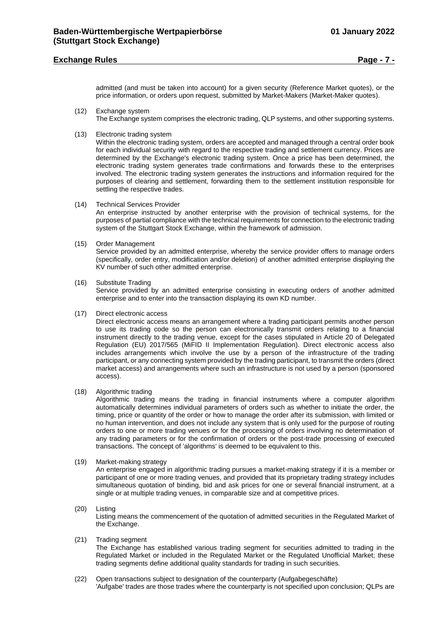# **Exchange Rules Page - 7 -**

admitted (and must be taken into account) for a given security (Reference Market quotes), or the price information, or orders upon request, submitted by Market-Makers (Market-Maker quotes).

- (12) Exchange system The Exchange system comprises the electronic trading, QLP systems, and other supporting systems.
- (13) Electronic trading system

Within the electronic trading system, orders are accepted and managed through a central order book for each individual security with regard to the respective trading and settlement currency. Prices are determined by the Exchange's electronic trading system. Once a price has been determined, the electronic trading system generates trade confirmations and forwards these to the enterprises involved. The electronic trading system generates the instructions and information required for the purposes of clearing and settlement, forwarding them to the settlement institution responsible for settling the respective trades.

(14) Technical Services Provider

An enterprise instructed by another enterprise with the provision of technical systems, for the purposes of partial compliance with the technical requirements for connection to the electronic trading system of the Stuttgart Stock Exchange, within the framework of admission.

(15) Order Management

Service provided by an admitted enterprise, whereby the service provider offers to manage orders (specifically, order entry, modification and/or deletion) of another admitted enterprise displaying the KV number of such other admitted enterprise.

(16) Substitute Trading

Service provided by an admitted enterprise consisting in executing orders of another admitted enterprise and to enter into the transaction displaying its own KD number.

(17) Direct electronic access

Direct electronic access means an arrangement where a trading participant permits another person to use its trading code so the person can electronically transmit orders relating to a financial instrument directly to the trading venue, except for the cases stipulated in Article 20 of Delegated Regulation (EU) 2017/565 (MiFID II Implementation Regulation). Direct electronic access also includes arrangements which involve the use by a person of the infrastructure of the trading participant, or any connecting system provided by the trading participant, to transmit the orders (direct market access) and arrangements where such an infrastructure is not used by a person (sponsored access).

(18) Algorithmic trading

Algorithmic trading means the trading in financial instruments where a computer algorithm automatically determines individual parameters of orders such as whether to initiate the order, the timing, price or quantity of the order or how to manage the order after its submission, with limited or no human intervention, and does not include any system that is only used for the purpose of routing orders to one or more trading venues or for the processing of orders involving no determination of any trading parameters or for the confirmation of orders or the post-trade processing of executed transactions. The concept of 'algorithms' is deemed to be equivalent to this.

#### (19) Market-making strategy

An enterprise engaged in algorithmic trading pursues a market-making strategy if it is a member or participant of one or more trading venues, and provided that its proprietary trading strategy includes simultaneous quotation of binding, bid and ask prices for one or several financial instrument, at a single or at multiple trading venues, in comparable size and at competitive prices.

#### (20) Listing

Listing means the commencement of the quotation of admitted securities in the Regulated Market of the Exchange.

(21) Trading segment

The Exchange has established various trading segment for securities admitted to trading in the Regulated Market or included in the Regulated Market or the Regulated Unofficial Market; these trading segments define additional quality standards for trading in such securities.

(22) Open transactions subject to designation of the counterparty (Aufgabegeschäfte) 'Aufgabe' trades are those trades where the counterparty is not specified upon conclusion; QLPs are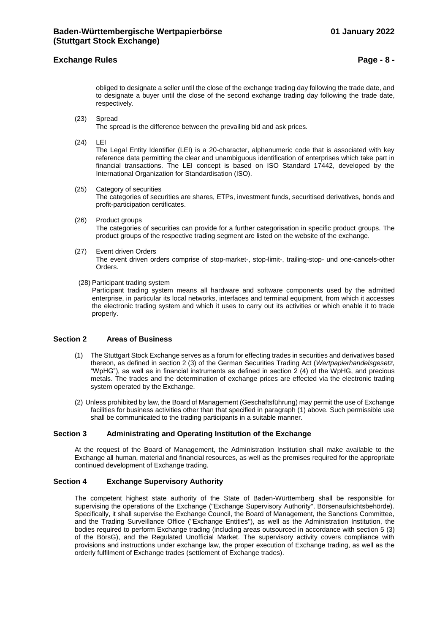# **Exchange Rules Page - 8 -**

obliged to designate a seller until the close of the exchange trading day following the trade date, and to designate a buyer until the close of the second exchange trading day following the trade date, respectively.

- (23) Spread The spread is the difference between the prevailing bid and ask prices.
- (24) LEI

The Legal Entity Identifier (LEI) is a 20-character, alphanumeric code that is associated with key reference data permitting the clear and unambiguous identification of enterprises which take part in financial transactions. The LEI concept is based on ISO Standard 17442, developed by the International Organization for Standardisation (ISO).

#### (25) Category of securities

The categories of securities are shares, ETPs, investment funds, securitised derivatives, bonds and profit-participation certificates.

- (26) Product groups The categories of securities can provide for a further categorisation in specific product groups. The product groups of the respective trading segment are listed on the website of the exchange.
- (27) Event driven Orders The event driven orders comprise of stop-market-, stop-limit-, trailing-stop- und one-cancels-other Orders.
- (28) Participant trading system

Participant trading system means all hardware and software components used by the admitted enterprise, in particular its local networks, interfaces and terminal equipment, from which it accesses the electronic trading system and which it uses to carry out its activities or which enable it to trade properly.

#### <span id="page-7-0"></span>**Section 2 Areas of Business**

- (1) The Stuttgart Stock Exchange serves as a forum for effecting trades in securities and derivatives based thereon, as defined in section 2 (3) of the German Securities Trading Act (*Wertpapierhandelsgesetz*, "WpHG"), as well as in financial instruments as defined in section 2 (4) of the WpHG, and precious metals. The trades and the determination of exchange prices are effected via the electronic trading system operated by the Exchange.
- (2) Unless prohibited by law, the Board of Management (Geschäftsführung) may permit the use of Exchange facilities for business activities other than that specified in paragraph (1) above. Such permissible use shall be communicated to the trading participants in a suitable manner.

# <span id="page-7-1"></span>**Section 3 Administrating and Operating Institution of the Exchange**

At the request of the Board of Management, the Administration Institution shall make available to the Exchange all human, material and financial resources, as well as the premises required for the appropriate continued development of Exchange trading.

# <span id="page-7-2"></span>**Section 4 Exchange Supervisory Authority**

The competent highest state authority of the State of Baden-Württemberg shall be responsible for supervising the operations of the Exchange ("Exchange Supervisory Authority", Börsenaufsichtsbehörde). Specifically, it shall supervise the Exchange Council, the Board of Management, the Sanctions Committee, and the Trading Surveillance Office ("Exchange Entities"), as well as the Administration Institution, the bodies required to perform Exchange trading (including areas outsourced in accordance with section 5 (3) of the BörsG), and the Regulated Unofficial Market. The supervisory activity covers compliance with provisions and instructions under exchange law, the proper execution of Exchange trading, as well as the orderly fulfilment of Exchange trades (settlement of Exchange trades).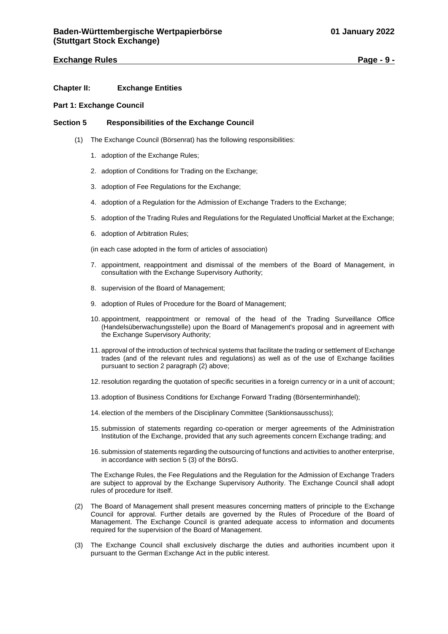# **Exchange Rules Page - 9 -**

#### <span id="page-8-0"></span>**Chapter II: Exchange Entities**

#### <span id="page-8-1"></span>**Part 1: Exchange Council**

#### <span id="page-8-2"></span>**Section 5 Responsibilities of the Exchange Council**

- (1) The Exchange Council (Börsenrat) has the following responsibilities:
	- 1. adoption of the Exchange Rules;
	- 2. adoption of Conditions for Trading on the Exchange;
	- 3. adoption of Fee Regulations for the Exchange;
	- 4. adoption of a Regulation for the Admission of Exchange Traders to the Exchange;
	- 5. adoption of the Trading Rules and Regulations for the Regulated Unofficial Market at the Exchange;
	- 6. adoption of Arbitration Rules;

(in each case adopted in the form of articles of association)

- 7. appointment, reappointment and dismissal of the members of the Board of Management, in consultation with the Exchange Supervisory Authority;
- 8. supervision of the Board of Management;
- 9. adoption of Rules of Procedure for the Board of Management;
- 10. appointment, reappointment or removal of the head of the Trading Surveillance Office (Handelsüberwachungsstelle) upon the Board of Management's proposal and in agreement with the Exchange Supervisory Authority;
- 11. approval of the introduction of technical systems that facilitate the trading or settlement of Exchange trades (and of the relevant rules and regulations) as well as of the use of Exchange facilities pursuant to section 2 paragraph (2) above;
- 12. resolution regarding the quotation of specific securities in a foreign currency or in a unit of account;
- 13. adoption of Business Conditions for Exchange Forward Trading (Börsenterminhandel);
- 14. election of the members of the Disciplinary Committee (Sanktionsausschuss);
- 15. submission of statements regarding co-operation or merger agreements of the Administration Institution of the Exchange, provided that any such agreements concern Exchange trading; and
- 16. submission of statements regarding the outsourcing of functions and activities to another enterprise, in accordance with section 5 (3) of the BörsG.

The Exchange Rules, the Fee Regulations and the Regulation for the Admission of Exchange Traders are subject to approval by the Exchange Supervisory Authority. The Exchange Council shall adopt rules of procedure for itself.

- (2) The Board of Management shall present measures concerning matters of principle to the Exchange Council for approval. Further details are governed by the Rules of Procedure of the Board of Management. The Exchange Council is granted adequate access to information and documents required for the supervision of the Board of Management.
- (3) The Exchange Council shall exclusively discharge the duties and authorities incumbent upon it pursuant to the German Exchange Act in the public interest.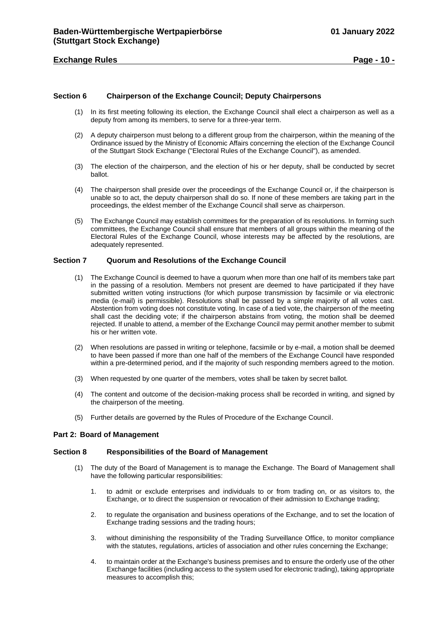# **Exchange Rules Page - 10 -**

# <span id="page-9-0"></span>**Section 6 Chairperson of the Exchange Council; Deputy Chairpersons**

- (1) In its first meeting following its election, the Exchange Council shall elect a chairperson as well as a deputy from among its members, to serve for a three-year term.
- (2) A deputy chairperson must belong to a different group from the chairperson, within the meaning of the Ordinance issued by the Ministry of Economic Affairs concerning the election of the Exchange Council of the Stuttgart Stock Exchange ("Electoral Rules of the Exchange Council"), as amended.
- (3) The election of the chairperson, and the election of his or her deputy, shall be conducted by secret ballot.
- (4) The chairperson shall preside over the proceedings of the Exchange Council or, if the chairperson is unable so to act, the deputy chairperson shall do so. If none of these members are taking part in the proceedings, the eldest member of the Exchange Council shall serve as chairperson.
- (5) The Exchange Council may establish committees for the preparation of its resolutions. In forming such committees, the Exchange Council shall ensure that members of all groups within the meaning of the Electoral Rules of the Exchange Council, whose interests may be affected by the resolutions, are adequately represented.

#### <span id="page-9-1"></span>**Section 7 Quorum and Resolutions of the Exchange Council**

- (1) The Exchange Council is deemed to have a quorum when more than one half of its members take part in the passing of a resolution. Members not present are deemed to have participated if they have submitted written voting instructions (for which purpose transmission by facsimile or via electronic media (e-mail) is permissible). Resolutions shall be passed by a simple majority of all votes cast. Abstention from voting does not constitute voting. In case of a tied vote, the chairperson of the meeting shall cast the deciding vote; if the chairperson abstains from voting, the motion shall be deemed rejected. If unable to attend, a member of the Exchange Council may permit another member to submit his or her written vote.
- (2) When resolutions are passed in writing or telephone, facsimile or by e-mail, a motion shall be deemed to have been passed if more than one half of the members of the Exchange Council have responded within a pre-determined period, and if the majority of such responding members agreed to the motion.
- (3) When requested by one quarter of the members, votes shall be taken by secret ballot.
- (4) The content and outcome of the decision-making process shall be recorded in writing, and signed by the chairperson of the meeting.
- (5) Further details are governed by the Rules of Procedure of the Exchange Council.

#### <span id="page-9-2"></span>**Part 2: Board of Management**

#### <span id="page-9-3"></span>**Section 8 Responsibilities of the Board of Management**

- (1) The duty of the Board of Management is to manage the Exchange. The Board of Management shall have the following particular responsibilities:
	- 1. to admit or exclude enterprises and individuals to or from trading on, or as visitors to, the Exchange, or to direct the suspension or revocation of their admission to Exchange trading;
	- 2. to regulate the organisation and business operations of the Exchange, and to set the location of Exchange trading sessions and the trading hours;
	- 3. without diminishing the responsibility of the Trading Surveillance Office, to monitor compliance with the statutes, regulations, articles of association and other rules concerning the Exchange;
	- 4. to maintain order at the Exchange's business premises and to ensure the orderly use of the other Exchange facilities (including access to the system used for electronic trading), taking appropriate measures to accomplish this;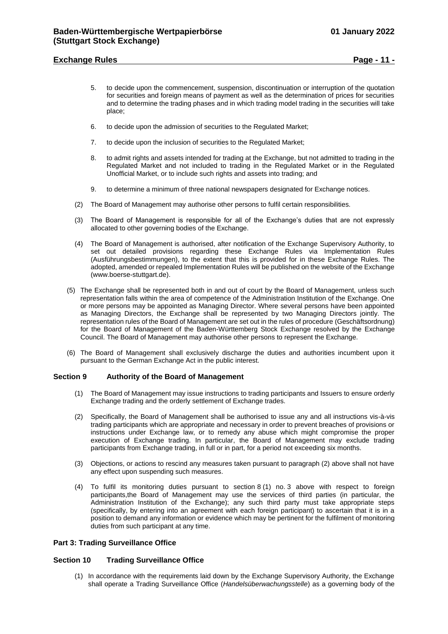# **Exchange Rules Page - 11 -**

- 5. to decide upon the commencement, suspension, discontinuation or interruption of the quotation for securities and foreign means of payment as well as the determination of prices for securities and to determine the trading phases and in which trading model trading in the securities will take place;
- 6. to decide upon the admission of securities to the Regulated Market;
- 7. to decide upon the inclusion of securities to the Regulated Market;
- 8. to admit rights and assets intended for trading at the Exchange, but not admitted to trading in the Regulated Market and not included to trading in the Regulated Market or in the Regulated Unofficial Market, or to include such rights and assets into trading; and
- 9. to determine a minimum of three national newspapers designated for Exchange notices.
- (2) The Board of Management may authorise other persons to fulfil certain responsibilities.
- (3) The Board of Management is responsible for all of the Exchange's duties that are not expressly allocated to other governing bodies of the Exchange.
- (4) The Board of Management is authorised, after notification of the Exchange Supervisory Authority, to set out detailed provisions regarding these Exchange Rules via Implementation Rules (Ausführungsbestimmungen), to the extent that this is provided for in these Exchange Rules. The adopted, amended or repealed Implementation Rules will be published on the website of the Exchange (www.boerse-stuttgart.de).
- (5) The Exchange shall be represented both in and out of court by the Board of Management, unless such representation falls within the area of competence of the Administration Institution of the Exchange. One or more persons may be appointed as Managing Director. Where several persons have been appointed as Managing Directors, the Exchange shall be represented by two Managing Directors jointly. The representation rules of the Board of Management are set out in the rules of procedure (Geschäftsordnung) for the Board of Management of the Baden-Württemberg Stock Exchange resolved by the Exchange Council. The Board of Management may authorise other persons to represent the Exchange.
- (6) The Board of Management shall exclusively discharge the duties and authorities incumbent upon it pursuant to the German Exchange Act in the public interest.

#### <span id="page-10-0"></span>**Section 9 Authority of the Board of Management**

- (1) The Board of Management may issue instructions to trading participants and Issuers to ensure orderly Exchange trading and the orderly settlement of Exchange trades.
- (2) Specifically, the Board of Management shall be authorised to issue any and all instructions vis-à-vis trading participants which are appropriate and necessary in order to prevent breaches of provisions or instructions under Exchange law, or to remedy any abuse which might compromise the proper execution of Exchange trading. In particular, the Board of Management may exclude trading participants from Exchange trading, in full or in part, for a period not exceeding six months.
- (3) Objections, or actions to rescind any measures taken pursuant to paragraph (2) above shall not have any effect upon suspending such measures.
- (4) To fulfil its monitoring duties pursuant to section 8 (1) no. 3 above with respect to foreign participants,the Board of Management may use the services of third parties (in particular, the Administration Institution of the Exchange); any such third party must take appropriate steps (specifically, by entering into an agreement with each foreign participant) to ascertain that it is in a position to demand any information or evidence which may be pertinent for the fulfilment of monitoring duties from such participant at any time.

#### <span id="page-10-1"></span>**Part 3: Trading Surveillance Office**

# <span id="page-10-2"></span>**Section 10 Trading Surveillance Office**

(1) In accordance with the requirements laid down by the Exchange Supervisory Authority, the Exchange shall operate a Trading Surveillance Office (*Handelsüberwachungsstelle*) as a governing body of the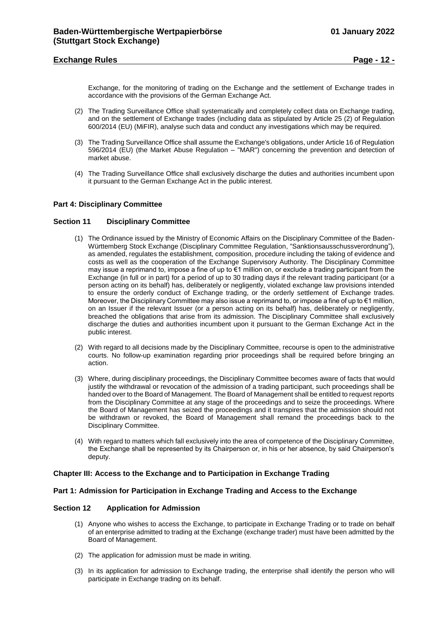Exchange, for the monitoring of trading on the Exchange and the settlement of Exchange trades in accordance with the provisions of the German Exchange Act.

- (2) The Trading Surveillance Office shall systematically and completely collect data on Exchange trading, and on the settlement of Exchange trades (including data as stipulated by Article 25 (2) of Regulation 600/2014 (EU) (MiFIR), analyse such data and conduct any investigations which may be required.
- (3) The Trading Surveillance Office shall assume the Exchange's obligations, under Article 16 of Regulation 596/2014 (EU) (the Market Abuse Regulation – "MAR") concerning the prevention and detection of market abuse.
- (4) The Trading Surveillance Office shall exclusively discharge the duties and authorities incumbent upon it pursuant to the German Exchange Act in the public interest.

# <span id="page-11-0"></span>**Part 4: Disciplinary Committee**

#### <span id="page-11-1"></span>**Section 11 Disciplinary Committee**

- (1) The Ordinance issued by the Ministry of Economic Affairs on the Disciplinary Committee of the Baden-Württemberg Stock Exchange (Disciplinary Committee Regulation, "Sanktionsausschussverordnung"), as amended, regulates the establishment, composition, procedure including the taking of evidence and costs as well as the cooperation of the Exchange Supervisory Authority. The Disciplinary Committee may issue a reprimand to, impose a fine of up to €1 million on, or exclude a trading participant from the Exchange (in full or in part) for a period of up to 30 trading days if the relevant trading participant (or a person acting on its behalf) has, deliberately or negligently, violated exchange law provisions intended to ensure the orderly conduct of Exchange trading, or the orderly settlement of Exchange trades. Moreover, the Disciplinary Committee may also issue a reprimand to, or impose a fine of up to €1 million, on an Issuer if the relevant Issuer (or a person acting on its behalf) has, deliberately or negligently, breached the obligations that arise from its admission. The Disciplinary Committee shall exclusively discharge the duties and authorities incumbent upon it pursuant to the German Exchange Act in the public interest.
- (2) With regard to all decisions made by the Disciplinary Committee, recourse is open to the administrative courts. No follow-up examination regarding prior proceedings shall be required before bringing an action.
- (3) Where, during disciplinary proceedings, the Disciplinary Committee becomes aware of facts that would justify the withdrawal or revocation of the admission of a trading participant, such proceedings shall be handed over to the Board of Management. The Board of Management shall be entitled to request reports from the Disciplinary Committee at any stage of the proceedings and to seize the proceedings. Where the Board of Management has seized the proceedings and it transpires that the admission should not be withdrawn or revoked, the Board of Management shall remand the proceedings back to the Disciplinary Committee.
- (4) With regard to matters which fall exclusively into the area of competence of the Disciplinary Committee, the Exchange shall be represented by its Chairperson or, in his or her absence, by said Chairperson's deputy.

#### <span id="page-11-2"></span>**Chapter III: Access to the Exchange and to Participation in Exchange Trading**

# <span id="page-11-3"></span>**Part 1: Admission for Participation in Exchange Trading and Access to the Exchange**

#### <span id="page-11-4"></span>**Section 12 Application for Admission**

- (1) Anyone who wishes to access the Exchange, to participate in Exchange Trading or to trade on behalf of an enterprise admitted to trading at the Exchange (exchange trader) must have been admitted by the Board of Management.
- (2) The application for admission must be made in writing.
- (3) In its application for admission to Exchange trading, the enterprise shall identify the person who will participate in Exchange trading on its behalf.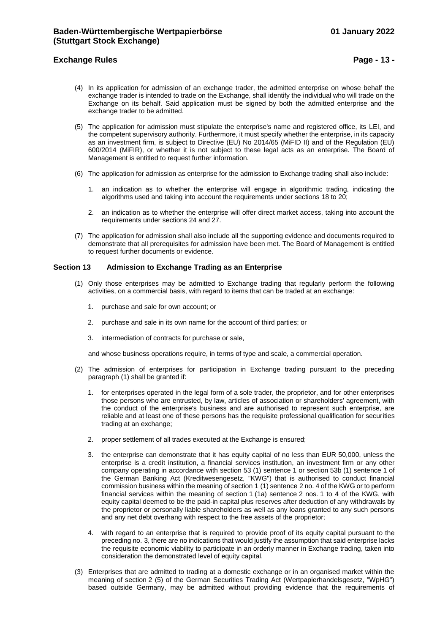# **Exchange Rules Page - 13 -**

- (4) In its application for admission of an exchange trader, the admitted enterprise on whose behalf the exchange trader is intended to trade on the Exchange, shall identify the individual who will trade on the Exchange on its behalf. Said application must be signed by both the admitted enterprise and the exchange trader to be admitted.
- (5) The application for admission must stipulate the enterprise's name and registered office, its LEI, and the competent supervisory authority. Furthermore, it must specify whether the enterprise, in its capacity as an investment firm, is subject to Directive (EU) No 2014/65 (MiFID II) and of the Regulation (EU) 600/2014 (MiFIR), or whether it is not subject to these legal acts as an enterprise. The Board of Management is entitled to request further information.
- (6) The application for admission as enterprise for the admission to Exchange trading shall also include:
	- 1. an indication as to whether the enterprise will engage in algorithmic trading, indicating the algorithms used and taking into account the requirements under sections 18 to 20;
	- 2. an indication as to whether the enterprise will offer direct market access, taking into account the requirements under sections 24 and 27.
- (7) The application for admission shall also include all the supporting evidence and documents required to demonstrate that all prerequisites for admission have been met. The Board of Management is entitled to request further documents or evidence.

#### <span id="page-12-0"></span>**Section 13 Admission to Exchange Trading as an Enterprise**

- (1) Only those enterprises may be admitted to Exchange trading that regularly perform the following activities, on a commercial basis, with regard to items that can be traded at an exchange:
	- 1. purchase and sale for own account; or
	- 2. purchase and sale in its own name for the account of third parties; or
	- 3. intermediation of contracts for purchase or sale,

and whose business operations require, in terms of type and scale, a commercial operation.

- (2) The admission of enterprises for participation in Exchange trading pursuant to the preceding paragraph (1) shall be granted if:
	- for enterprises operated in the legal form of a sole trader, the proprietor, and for other enterprises those persons who are entrusted, by law, articles of association or shareholders' agreement, with the conduct of the enterprise's business and are authorised to represent such enterprise, are reliable and at least one of these persons has the requisite professional qualification for securities trading at an exchange;
	- 2. proper settlement of all trades executed at the Exchange is ensured;
	- 3. the enterprise can demonstrate that it has equity capital of no less than EUR 50,000, unless the enterprise is a credit institution, a financial services institution, an investment firm or any other company operating in accordance with section 53 (1) sentence 1 or section 53b (1) sentence 1 of the German Banking Act (Kreditwesengesetz, "KWG") that is authorised to conduct financial commission business within the meaning of section 1 (1) sentence 2 no. 4 of the KWG or to perform financial services within the meaning of section 1 (1a) sentence 2 nos. 1 to 4 of the KWG, with equity capital deemed to be the paid-in capital plus reserves after deduction of any withdrawals by the proprietor or personally liable shareholders as well as any loans granted to any such persons and any net debt overhang with respect to the free assets of the proprietor;
	- 4. with regard to an enterprise that is required to provide proof of its equity capital pursuant to the preceding no. 3, there are no indications that would justify the assumption that said enterprise lacks the requisite economic viability to participate in an orderly manner in Exchange trading, taken into consideration the demonstrated level of equity capital.
- (3) Enterprises that are admitted to trading at a domestic exchange or in an organised market within the meaning of section 2 (5) of the German Securities Trading Act (Wertpapierhandelsgesetz, "WpHG") based outside Germany, may be admitted without providing evidence that the requirements of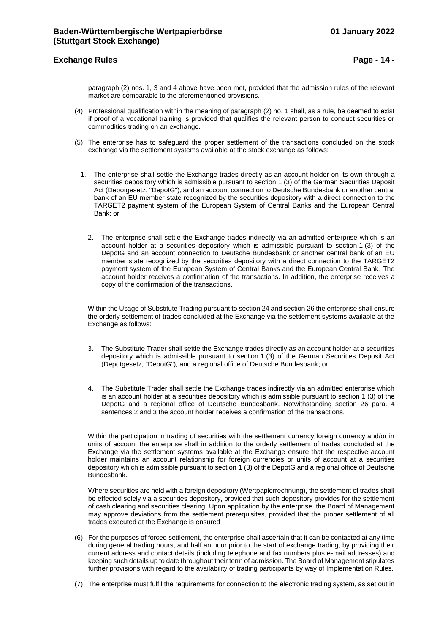# **Exchange Rules Page - 14 -**

paragraph (2) nos. 1, 3 and 4 above have been met, provided that the admission rules of the relevant market are comparable to the aforementioned provisions.

- (4) Professional qualification within the meaning of paragraph (2) no. 1 shall, as a rule, be deemed to exist if proof of a vocational training is provided that qualifies the relevant person to conduct securities or commodities trading on an exchange.
- (5) The enterprise has to safeguard the proper settlement of the transactions concluded on the stock exchange via the settlement systems available at the stock exchange as follows:
	- 1. The enterprise shall settle the Exchange trades directly as an account holder on its own through a securities depository which is admissible pursuant to section 1 (3) of the German Securities Deposit Act (Depotgesetz, "DepotG"), and an account connection to Deutsche Bundesbank or another central bank of an EU member state recognized by the securities depository with a direct connection to the TARGET2 payment system of the European System of Central Banks and the European Central Bank; or
		- 2. The enterprise shall settle the Exchange trades indirectly via an admitted enterprise which is an account holder at a securities depository which is admissible pursuant to section 1 (3) of the DepotG and an account connection to Deutsche Bundesbank or another central bank of an EU member state recognized by the securities depository with a direct connection to the TARGET2 payment system of the European System of Central Banks and the European Central Bank. The account holder receives a confirmation of the transactions. In addition, the enterprise receives a copy of the confirmation of the transactions.

Within the Usage of Substitute Trading pursuant to section 24 and section 26 the enterprise shall ensure the orderly settlement of trades concluded at the Exchange via the settlement systems available at the Exchange as follows:

- 3. The Substitute Trader shall settle the Exchange trades directly as an account holder at a securities depository which is admissible pursuant to section 1 (3) of the German Securities Deposit Act (Depotgesetz, "DepotG"), and a regional office of Deutsche Bundesbank; or
- 4. The Substitute Trader shall settle the Exchange trades indirectly via an admitted enterprise which is an account holder at a securities depository which is admissible pursuant to section 1 (3) of the DepotG and a regional office of Deutsche Bundesbank. Notwithstanding section 26 para. 4 sentences 2 and 3 the account holder receives a confirmation of the transactions.

Within the participation in trading of securities with the settlement currency foreign currency and/or in units of account the enterprise shall in addition to the orderly settlement of trades concluded at the Exchange via the settlement systems available at the Exchange ensure that the respective account holder maintains an account relationship for foreign currencies or units of account at a securities depository which is admissible pursuant to section 1 (3) of the DepotG and a regional office of Deutsche Bundesbank.

Where securities are held with a foreign depository (Wertpapierrechnung), the settlement of trades shall be effected solely via a securities depository, provided that such depository provides for the settlement of cash clearing and securities clearing. Upon application by the enterprise, the Board of Management may approve deviations from the settlement prerequisites, provided that the proper settlement of all trades executed at the Exchange is ensured

- (6) For the purposes of forced settlement, the enterprise shall ascertain that it can be contacted at any time during general trading hours, and half an hour prior to the start of exchange trading, by providing their current address and contact details (including telephone and fax numbers plus e-mail addresses) and keeping such details up to date throughout their term of admission. The Board of Management stipulates further provisions with regard to the availability of trading participants by way of Implementation Rules.
- (7) The enterprise must fulfil the requirements for connection to the electronic trading system, as set out in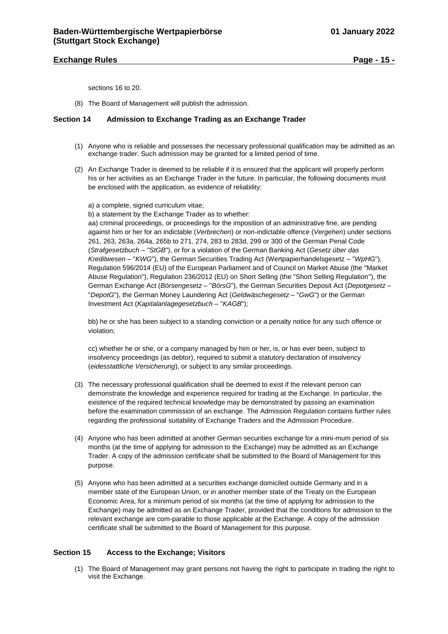# **Exchange Rules Page - 15 -**

sections 16 to 20.

(8) The Board of Management will publish the admission.

# <span id="page-14-0"></span>**Section 14 Admission to Exchange Trading as an Exchange Trader**

- (1) Anyone who is reliable and possesses the necessary professional qualification may be admitted as an exchange trader. Such admission may be granted for a limited period of time.
- (2) An Exchange Trader is deemed to be reliable if it is ensured that the applicant will properly perform his or her activities as an Exchange Trader in the future. In particular, the following documents must be enclosed with the application, as evidence of reliability:

a) a complete, signed curriculum vitae;

b) a statement by the Exchange Trader as to whether:

aa) criminal proceedings, or proceedings for the imposition of an administrative fine, are pending against him or her for an indictable (*Verbrechen*) or non-indictable offence (*Vergehen*) under sections 261, 263, 263a, 264a, 265b to 271, 274, 283 to 283d, 299 or 300 of the German Penal Code (*Strafgesetzbuch* – *"StGB*"), or for a violation of the German Banking Act (*Gesetz über das Kreditwesen* – "*KWG*"), the German Securities Trading Act (Wertpapierhandelsgesetz – "*WpHG*"), Regulation 596/2014 (EU) of the European Parliament and of Council on Market Abuse (the "Market Abuse Regulation"), Regulation 236/2012 (EU) on Short Selling (the "Short Selling Regulation"), the German Exchange Act (*Börsengesetz* – "*BörsG*"), the German Securities Deposit Act (*Depotgesetz* – "*DepotG*"), the German Money Laundering Act (*Geldwäschegesetz* – "*GwG*") or the German Investment Act (*Kapitalanlagegesetzbuch* – "*KAGB*");

bb) he or she has been subject to a standing conviction or a penalty notice for any such offence or violation;

cc) whether he or she, or a company managed by him or her, is, or has ever been, subject to insolvency proceedings (as debtor), required to submit a statutory declaration of insolvency (*eidesstattliche Versicherung*), or subject to any similar proceedings.

- (3) The necessary professional qualification shall be deemed to exist if the relevant person can demonstrate the knowledge and experience required for trading at the Exchange. In particular, the existence of the required technical knowledge may be demonstrated by passing an examination before the examination commission of an exchange. The Admission Regulation contains further rules regarding the professional suitability of Exchange Traders and the Admission Procedure.
- (4) Anyone who has been admitted at another German securities exchange for a mini-mum period of six months (at the time of applying for admission to the Exchange) may be admitted as an Exchange Trader. A copy of the admission certificate shall be submitted to the Board of Management for this purpose.
- (5) Anyone who has been admitted at a securities exchange domiciled outside Germany and in a member state of the European Union, or in another member state of the Treaty on the European Economic Area, for a minimum period of six months (at the time of applying for admission to the Exchange) may be admitted as an Exchange Trader, provided that the conditions for admission to the relevant exchange are com-parable to those applicable at the Exchange. A copy of the admission certificate shall be submitted to the Board of Management for this purpose.

# <span id="page-14-1"></span>**Section 15 Access to the Exchange; Visitors**

(1) The Board of Management may grant persons not having the right to participate in trading the right to visit the Exchange.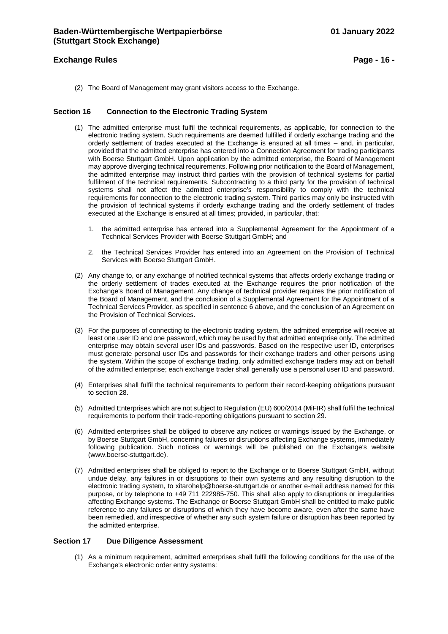# **Exchange Rules Page - 16 -**

(2) The Board of Management may grant visitors access to the Exchange.

#### <span id="page-15-0"></span>**Section 16 Connection to the Electronic Trading System**

- (1) The admitted enterprise must fulfil the technical requirements, as applicable, for connection to the electronic trading system. Such requirements are deemed fulfilled if orderly exchange trading and the orderly settlement of trades executed at the Exchange is ensured at all times – and, in particular, provided that the admitted enterprise has entered into a Connection Agreement for trading participants with Boerse Stuttgart GmbH. Upon application by the admitted enterprise, the Board of Management may approve diverging technical requirements. Following prior notification to the Board of Management, the admitted enterprise may instruct third parties with the provision of technical systems for partial fulfilment of the technical requirements. Subcontracting to a third party for the provision of technical systems shall not affect the admitted enterprise's responsibility to comply with the technical requirements for connection to the electronic trading system. Third parties may only be instructed with the provision of technical systems if orderly exchange trading and the orderly settlement of trades executed at the Exchange is ensured at all times; provided, in particular, that:
	- 1. the admitted enterprise has entered into a Supplemental Agreement for the Appointment of a Technical Services Provider with Boerse Stuttgart GmbH; and
	- 2. the Technical Services Provider has entered into an Agreement on the Provision of Technical Services with Boerse Stuttgart GmbH.
- (2) Any change to, or any exchange of notified technical systems that affects orderly exchange trading or the orderly settlement of trades executed at the Exchange requires the prior notification of the Exchange's Board of Management. Any change of technical provider requires the prior notification of the Board of Management, and the conclusion of a Supplemental Agreement for the Appointment of a Technical Services Provider, as specified in sentence 6 above, and the conclusion of an Agreement on the Provision of Technical Services.
- (3) For the purposes of connecting to the electronic trading system, the admitted enterprise will receive at least one user ID and one password, which may be used by that admitted enterprise only. The admitted enterprise may obtain several user IDs and passwords. Based on the respective user ID, enterprises must generate personal user IDs and passwords for their exchange traders and other persons using the system. Within the scope of exchange trading, only admitted exchange traders may act on behalf of the admitted enterprise; each exchange trader shall generally use a personal user ID and password.
- (4) Enterprises shall fulfil the technical requirements to perform their record-keeping obligations pursuant to section 28.
- (5) Admitted Enterprises which are not subject to Regulation (EU) 600/2014 (MiFIR) shall fulfil the technical requirements to perform their trade-reporting obligations pursuant to section 29.
- (6) Admitted enterprises shall be obliged to observe any notices or warnings issued by the Exchange, or by Boerse Stuttgart GmbH, concerning failures or disruptions affecting Exchange systems, immediately following publication. Such notices or warnings will be published on the Exchange's website (www.boerse-stuttgart.de).
- (7) Admitted enterprises shall be obliged to report to the Exchange or to Boerse Stuttgart GmbH, without undue delay, any failures in or disruptions to their own systems and any resulting disruption to the electronic trading system, to xitarohelp@boerse-stuttgart.de or another e-mail address named for this purpose, or by telephone to +49 711 222985-750. This shall also apply to disruptions or irregularities affecting Exchange systems. The Exchange or Boerse Stuttgart GmbH shall be entitled to make public reference to any failures or disruptions of which they have become aware, even after the same have been remedied, and irrespective of whether any such system failure or disruption has been reported by the admitted enterprise.

#### <span id="page-15-1"></span>**Section 17 Due Diligence Assessment**

(1) As a minimum requirement, admitted enterprises shall fulfil the following conditions for the use of the Exchange's electronic order entry systems: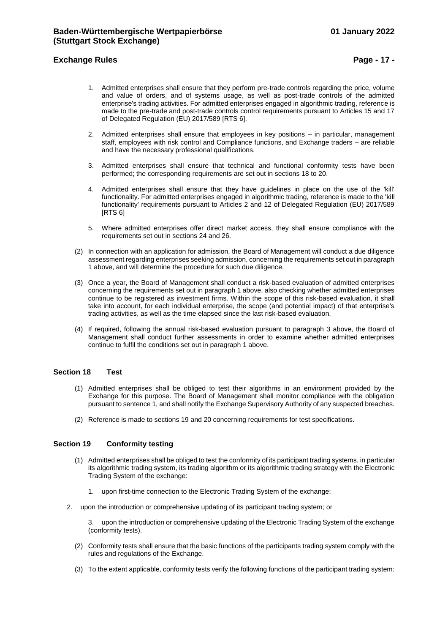# **Exchange Rules Page - 17 -**

- 1. Admitted enterprises shall ensure that they perform pre-trade controls regarding the price, volume and value of orders, and of systems usage, as well as post-trade controls of the admitted enterprise's trading activities. For admitted enterprises engaged in algorithmic trading, reference is made to the pre-trade and post-trade controls control requirements pursuant to Articles 15 and 17 of Delegated Regulation (EU) 2017/589 [RTS 6].
- 2. Admitted enterprises shall ensure that employees in key positions in particular, management staff, employees with risk control and Compliance functions, and Exchange traders – are reliable and have the necessary professional qualifications.
- 3. Admitted enterprises shall ensure that technical and functional conformity tests have been performed; the corresponding requirements are set out in sections 18 to 20.
- 4. Admitted enterprises shall ensure that they have guidelines in place on the use of the 'kill' functionality. For admitted enterprises engaged in algorithmic trading, reference is made to the 'kill functionality' requirements pursuant to Articles 2 and 12 of Delegated Regulation (EU) 2017/589 [RTS 6]
- 5. Where admitted enterprises offer direct market access, they shall ensure compliance with the requirements set out in sections 24 and 26.
- (2) In connection with an application for admission, the Board of Management will conduct a due diligence assessment regarding enterprises seeking admission, concerning the requirements set out in paragraph 1 above, and will determine the procedure for such due diligence.
- (3) Once a year, the Board of Management shall conduct a risk-based evaluation of admitted enterprises concerning the requirements set out in paragraph 1 above, also checking whether admitted enterprises continue to be registered as investment firms. Within the scope of this risk-based evaluation, it shall take into account, for each individual enterprise, the scope (and potential impact) of that enterprise's trading activities, as well as the time elapsed since the last risk-based evaluation.
- (4) If required, following the annual risk-based evaluation pursuant to paragraph 3 above, the Board of Management shall conduct further assessments in order to examine whether admitted enterprises continue to fulfil the conditions set out in paragraph 1 above.

#### <span id="page-16-0"></span>**Section 18 Test**

- (1) Admitted enterprises shall be obliged to test their algorithms in an environment provided by the Exchange for this purpose. The Board of Management shall monitor compliance with the obligation pursuant to sentence 1, and shall notify the Exchange Supervisory Authority of any suspected breaches.
- (2) Reference is made to sections 19 and 20 concerning requirements for test specifications.

#### <span id="page-16-1"></span>**Section 19 Conformity testing**

- (1) Admitted enterprises shall be obliged to test the conformity of its participant trading systems, in particular its algorithmic trading system, its trading algorithm or its algorithmic trading strategy with the Electronic Trading System of the exchange:
	- 1. upon first-time connection to the Electronic Trading System of the exchange;
- 2. upon the introduction or comprehensive updating of its participant trading system; or
	- 3. upon the introduction or comprehensive updating of the Electronic Trading System of the exchange (conformity tests).
	- (2) Conformity tests shall ensure that the basic functions of the participants trading system comply with the rules and regulations of the Exchange.
	- (3) To the extent applicable, conformity tests verify the following functions of the participant trading system: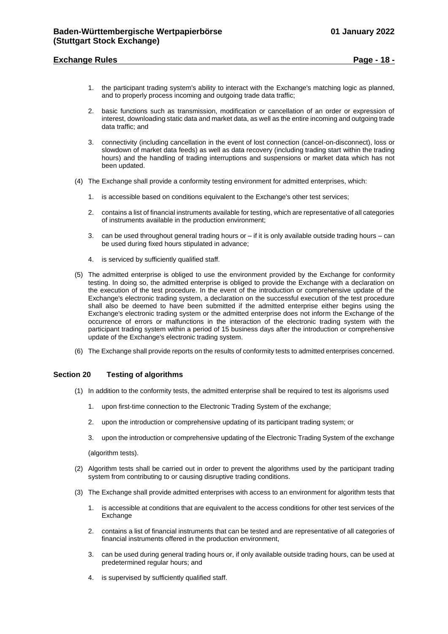# **Exchange Rules Page - 18 -**

- 1. the participant trading system's ability to interact with the Exchange's matching logic as planned, and to properly process incoming and outgoing trade data traffic;
- 2. basic functions such as transmission, modification or cancellation of an order or expression of interest, downloading static data and market data, as well as the entire incoming and outgoing trade data traffic; and
- 3. connectivity (including cancellation in the event of lost connection (cancel-on-disconnect), loss or slowdown of market data feeds) as well as data recovery (including trading start within the trading hours) and the handling of trading interruptions and suspensions or market data which has not been updated.
- (4) The Exchange shall provide a conformity testing environment for admitted enterprises, which:
	- 1. is accessible based on conditions equivalent to the Exchange's other test services;
	- 2. contains a list of financial instruments available for testing, which are representative of all categories of instruments available in the production environment;
	- 3. can be used throughout general trading hours or if it is only available outside trading hours can be used during fixed hours stipulated in advance;
	- 4. is serviced by sufficiently qualified staff.
- (5) The admitted enterprise is obliged to use the environment provided by the Exchange for conformity testing. In doing so, the admitted enterprise is obliged to provide the Exchange with a declaration on the execution of the test procedure. In the event of the introduction or comprehensive update of the Exchange's electronic trading system, a declaration on the successful execution of the test procedure shall also be deemed to have been submitted if the admitted enterprise either begins using the Exchange's electronic trading system or the admitted enterprise does not inform the Exchange of the occurrence of errors or malfunctions in the interaction of the electronic trading system with the participant trading system within a period of 15 business days after the introduction or comprehensive update of the Exchange's electronic trading system.
- (6) The Exchange shall provide reports on the results of conformity tests to admitted enterprises concerned.

# <span id="page-17-0"></span>**Section 20 Testing of algorithms**

- (1) In addition to the conformity tests, the admitted enterprise shall be required to test its algorisms used
	- 1. upon first-time connection to the Electronic Trading System of the exchange;
	- 2. upon the introduction or comprehensive updating of its participant trading system; or
	- 3. upon the introduction or comprehensive updating of the Electronic Trading System of the exchange

(algorithm tests).

- (2) Algorithm tests shall be carried out in order to prevent the algorithms used by the participant trading system from contributing to or causing disruptive trading conditions.
- (3) The Exchange shall provide admitted enterprises with access to an environment for algorithm tests that
	- 1. is accessible at conditions that are equivalent to the access conditions for other test services of the **Exchange**
	- 2. contains a list of financial instruments that can be tested and are representative of all categories of financial instruments offered in the production environment,
	- 3. can be used during general trading hours or, if only available outside trading hours, can be used at predetermined regular hours; and
	- 4. is supervised by sufficiently qualified staff.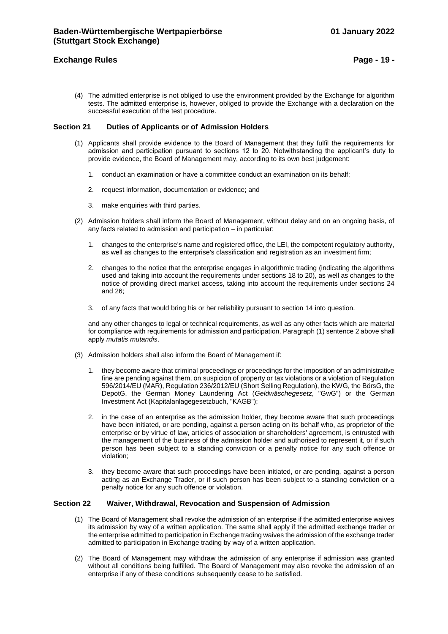# **Exchange Rules Page - 19 -**

(4) The admitted enterprise is not obliged to use the environment provided by the Exchange for algorithm tests. The admitted enterprise is, however, obliged to provide the Exchange with a declaration on the successful execution of the test procedure.

#### <span id="page-18-0"></span>**Section 21 Duties of Applicants or of Admission Holders**

- (1) Applicants shall provide evidence to the Board of Management that they fulfil the requirements for admission and participation pursuant to sections 12 to 20. Notwithstanding the applicant's duty to provide evidence, the Board of Management may, according to its own best judgement:
	- 1. conduct an examination or have a committee conduct an examination on its behalf;
	- 2. request information, documentation or evidence; and
	- 3. make enquiries with third parties.
- (2) Admission holders shall inform the Board of Management, without delay and on an ongoing basis, of any facts related to admission and participation – in particular:
	- 1. changes to the enterprise's name and registered office, the LEI, the competent regulatory authority, as well as changes to the enterprise's classification and registration as an investment firm;
	- 2. changes to the notice that the enterprise engages in algorithmic trading (indicating the algorithms used and taking into account the requirements under sections 18 to 20), as well as changes to the notice of providing direct market access, taking into account the requirements under sections 24 and 26;
	- 3. of any facts that would bring his or her reliability pursuant to section 14 into question.

and any other changes to legal or technical requirements, as well as any other facts which are material for compliance with requirements for admission and participation. Paragraph (1) sentence 2 above shall apply *mutatis mutandis*.

- (3) Admission holders shall also inform the Board of Management if:
	- 1. they become aware that criminal proceedings or proceedings for the imposition of an administrative fine are pending against them, on suspicion of property or tax violations or a violation of Regulation 596/2014/EU (MAR), Regulation 236/2012/EU (Short Selling Regulation), the KWG, the BörsG, the DepotG, the German Money Laundering Act (*Geldwäschegesetz*, "GwG") or the German Investment Act (Kapitalanlagegesetzbuch, "KAGB");
	- 2. in the case of an enterprise as the admission holder, they become aware that such proceedings have been initiated, or are pending, against a person acting on its behalf who, as proprietor of the enterprise or by virtue of law, articles of association or shareholders' agreement, is entrusted with the management of the business of the admission holder and authorised to represent it, or if such person has been subject to a standing conviction or a penalty notice for any such offence or violation;
	- 3. they become aware that such proceedings have been initiated, or are pending, against a person acting as an Exchange Trader, or if such person has been subject to a standing conviction or a penalty notice for any such offence or violation.

#### <span id="page-18-1"></span>**Section 22 Waiver, Withdrawal, Revocation and Suspension of Admission**

- (1) The Board of Management shall revoke the admission of an enterprise if the admitted enterprise waives its admission by way of a written application. The same shall apply if the admitted exchange trader or the enterprise admitted to participation in Exchange trading waives the admission of the exchange trader admitted to participation in Exchange trading by way of a written application.
- (2) The Board of Management may withdraw the admission of any enterprise if admission was granted without all conditions being fulfilled. The Board of Management may also revoke the admission of an enterprise if any of these conditions subsequently cease to be satisfied.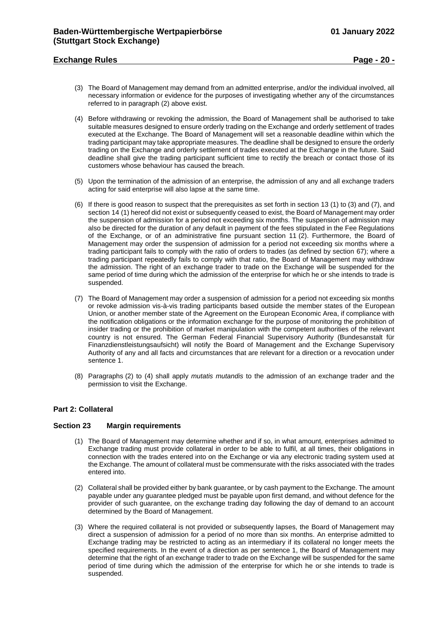# **Exchange Rules Page - 20 -**

- (3) The Board of Management may demand from an admitted enterprise, and/or the individual involved, all necessary information or evidence for the purposes of investigating whether any of the circumstances referred to in paragraph (2) above exist.
- (4) Before withdrawing or revoking the admission, the Board of Management shall be authorised to take suitable measures designed to ensure orderly trading on the Exchange and orderly settlement of trades executed at the Exchange. The Board of Management will set a reasonable deadline within which the trading participant may take appropriate measures. The deadline shall be designed to ensure the orderly trading on the Exchange and orderly settlement of trades executed at the Exchange in the future. Said deadline shall give the trading participant sufficient time to rectify the breach or contact those of its customers whose behaviour has caused the breach.
- (5) Upon the termination of the admission of an enterprise, the admission of any and all exchange traders acting for said enterprise will also lapse at the same time.
- (6) If there is good reason to suspect that the prerequisites as set forth in section 13 (1) to (3) and (7), and section 14 (1) hereof did not exist or subsequently ceased to exist, the Board of Management may order the suspension of admission for a period not exceeding six months. The suspension of admission may also be directed for the duration of any default in payment of the fees stipulated in the Fee Regulations of the Exchange, or of an administrative fine pursuant section 11 (2). Furthermore, the Board of Management may order the suspension of admission for a period not exceeding six months where a trading participant fails to comply with the ratio of orders to trades (as defined by section 67); where a trading participant repeatedly fails to comply with that ratio, the Board of Management may withdraw the admission. The right of an exchange trader to trade on the Exchange will be suspended for the same period of time during which the admission of the enterprise for which he or she intends to trade is suspended.
- (7) The Board of Management may order a suspension of admission for a period not exceeding six months or revoke admission vis-à-vis trading participants based outside the member states of the European Union, or another member state of the Agreement on the European Economic Area, if compliance with the notification obligations or the information exchange for the purpose of monitoring the prohibition of insider trading or the prohibition of market manipulation with the competent authorities of the relevant country is not ensured. The German Federal Financial Supervisory Authority (Bundesanstalt für Finanzdienstleistungsaufsicht) will notify the Board of Management and the Exchange Supervisory Authority of any and all facts and circumstances that are relevant for a direction or a revocation under sentence 1.
- (8) Paragraphs (2) to (4) shall apply *mutatis mutandis* to the admission of an exchange trader and the permission to visit the Exchange.

# <span id="page-19-0"></span>**Part 2: Collateral**

#### <span id="page-19-1"></span>**Section 23 Margin requirements**

- (1) The Board of Management may determine whether and if so, in what amount, enterprises admitted to Exchange trading must provide collateral in order to be able to fulfil, at all times, their obligations in connection with the trades entered into on the Exchange or via any electronic trading system used at the Exchange. The amount of collateral must be commensurate with the risks associated with the trades entered into.
- (2) Collateral shall be provided either by bank guarantee, or by cash payment to the Exchange. The amount payable under any guarantee pledged must be payable upon first demand, and without defence for the provider of such guarantee, on the exchange trading day following the day of demand to an account determined by the Board of Management.
- (3) Where the required collateral is not provided or subsequently lapses, the Board of Management may direct a suspension of admission for a period of no more than six months. An enterprise admitted to Exchange trading may be restricted to acting as an intermediary if its collateral no longer meets the specified requirements. In the event of a direction as per sentence 1, the Board of Management may determine that the right of an exchange trader to trade on the Exchange will be suspended for the same period of time during which the admission of the enterprise for which he or she intends to trade is suspended.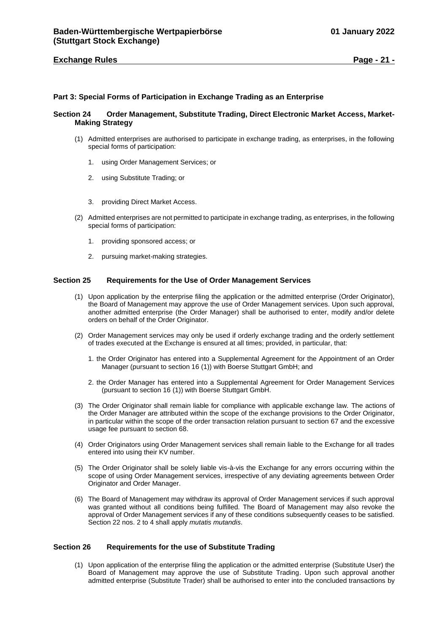# **Exchange Rules Page - 21 -**

#### <span id="page-20-0"></span>**Part 3: Special Forms of Participation in Exchange Trading as an Enterprise**

#### <span id="page-20-1"></span>**Section 24 Order Management, Substitute Trading, Direct Electronic Market Access, Market-Making Strategy**

- (1) Admitted enterprises are authorised to participate in exchange trading, as enterprises, in the following special forms of participation:
	- 1. using Order Management Services; or
	- 2. using Substitute Trading; or
	- 3. providing Direct Market Access.
- (2) Admitted enterprises are not permitted to participate in exchange trading, as enterprises, in the following special forms of participation:
	- 1. providing sponsored access; or
	- 2. pursuing market-making strategies.

#### <span id="page-20-2"></span>**Section 25 Requirements for the Use of Order Management Services**

- (1) Upon application by the enterprise filing the application or the admitted enterprise (Order Originator), the Board of Management may approve the use of Order Management services. Upon such approval, another admitted enterprise (the Order Manager) shall be authorised to enter, modify and/or delete orders on behalf of the Order Originator.
- (2) Order Management services may only be used if orderly exchange trading and the orderly settlement of trades executed at the Exchange is ensured at all times; provided, in particular, that:
	- 1. the Order Originator has entered into a Supplemental Agreement for the Appointment of an Order Manager (pursuant to section 16 (1)) with Boerse Stuttgart GmbH; and
	- 2. the Order Manager has entered into a Supplemental Agreement for Order Management Services (pursuant to section 16 (1)) with Boerse Stuttgart GmbH.
- (3) The Order Originator shall remain liable for compliance with applicable exchange law. The actions of the Order Manager are attributed within the scope of the exchange provisions to the Order Originator, in particular within the scope of the order transaction relation pursuant to section 67 and the excessive usage fee pursuant to section 68.
- (4) Order Originators using Order Management services shall remain liable to the Exchange for all trades entered into using their KV number.
- (5) The Order Originator shall be solely liable vis-à-vis the Exchange for any errors occurring within the scope of using Order Management services, irrespective of any deviating agreements between Order Originator and Order Manager.
- (6) The Board of Management may withdraw its approval of Order Management services if such approval was granted without all conditions being fulfilled. The Board of Management may also revoke the approval of Order Management services if any of these conditions subsequently ceases to be satisfied. Section 22 nos. 2 to 4 shall apply *mutatis mutandis*.

#### <span id="page-20-3"></span>**Section 26 Requirements for the use of Substitute Trading**

(1) Upon application of the enterprise filing the application or the admitted enterprise (Substitute User) the Board of Management may approve the use of Substitute Trading. Upon such approval another admitted enterprise (Substitute Trader) shall be authorised to enter into the concluded transactions by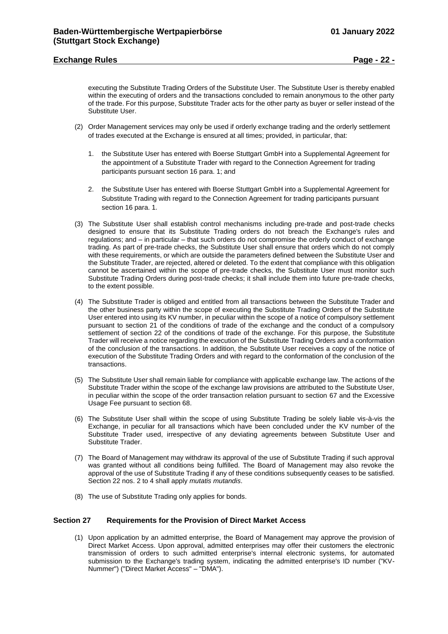# **Exchange Rules Page - 22 -**

executing the Substitute Trading Orders of the Substitute User. The Substitute User is thereby enabled within the executing of orders and the transactions concluded to remain anonymous to the other party of the trade. For this purpose, Substitute Trader acts for the other party as buyer or seller instead of the Substitute User.

- (2) Order Management services may only be used if orderly exchange trading and the orderly settlement of trades executed at the Exchange is ensured at all times; provided, in particular, that:
	- 1. the Substitute User has entered with Boerse Stuttgart GmbH into a Supplemental Agreement for the appointment of a Substitute Trader with regard to the Connection Agreement for trading participants pursuant section 16 para. 1; and
	- 2. the Substitute User has entered with Boerse Stuttgart GmbH into a Supplemental Agreement for Substitute Trading with regard to the Connection Agreement for trading participants pursuant section 16 para. 1.
- (3) The Substitute User shall establish control mechanisms including pre-trade and post-trade checks designed to ensure that its Substitute Trading orders do not breach the Exchange's rules and regulations; and – in particular – that such orders do not compromise the orderly conduct of exchange trading. As part of pre-trade checks, the Substitute User shall ensure that orders which do not comply with these requirements, or which are outside the parameters defined between the Substitute User and the Substitute Trader, are rejected, altered or deleted. To the extent that compliance with this obligation cannot be ascertained within the scope of pre-trade checks, the Substitute User must monitor such Substitute Trading Orders during post-trade checks; it shall include them into future pre-trade checks, to the extent possible.
- (4) The Substitute Trader is obliged and entitled from all transactions between the Substitute Trader and the other business party within the scope of executing the Substitute Trading Orders of the Substitute User entered into using its KV number, in peculiar within the scope of a notice of compulsory settlement pursuant to section 21 of the conditions of trade of the exchange and the conduct of a compulsory settlement of section 22 of the conditions of trade of the exchange. For this purpose, the Substitute Trader will receive a notice regarding the execution of the Substitute Trading Orders and a conformation of the conclusion of the transactions. In addition, the Substitute User receives a copy of the notice of execution of the Substitute Trading Orders and with regard to the conformation of the conclusion of the transactions.
- (5) The Substitute User shall remain liable for compliance with applicable exchange law. The actions of the Substitute Trader within the scope of the exchange law provisions are attributed to the Substitute User, in peculiar within the scope of the order transaction relation pursuant to section 67 and the Excessive Usage Fee pursuant to section 68.
- (6) The Substitute User shall within the scope of using Substitute Trading be solely liable vis-à-vis the Exchange, in peculiar for all transactions which have been concluded under the KV number of the Substitute Trader used, irrespective of any deviating agreements between Substitute User and Substitute Trader.
- (7) The Board of Management may withdraw its approval of the use of Substitute Trading if such approval was granted without all conditions being fulfilled. The Board of Management may also revoke the approval of the use of Substitute Trading if any of these conditions subsequently ceases to be satisfied. Section 22 nos. 2 to 4 shall apply *mutatis mutandis*.
- (8) The use of Substitute Trading only applies for bonds.

#### <span id="page-21-0"></span>**Section 27 Requirements for the Provision of Direct Market Access**

(1) Upon application by an admitted enterprise, the Board of Management may approve the provision of Direct Market Access. Upon approval, admitted enterprises may offer their customers the electronic transmission of orders to such admitted enterprise's internal electronic systems, for automated submission to the Exchange's trading system, indicating the admitted enterprise's ID number ("KV-Nummer") ("Direct Market Access" – "DMA").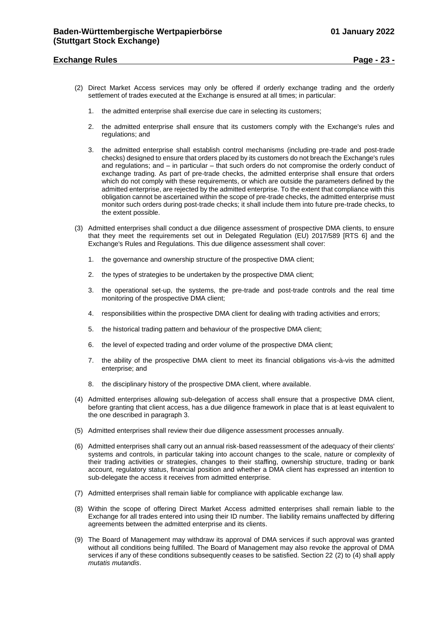# **Exchange Rules Page - 23 -**

- (2) Direct Market Access services may only be offered if orderly exchange trading and the orderly settlement of trades executed at the Exchange is ensured at all times; in particular:
	- 1. the admitted enterprise shall exercise due care in selecting its customers;
	- 2. the admitted enterprise shall ensure that its customers comply with the Exchange's rules and regulations; and
	- 3. the admitted enterprise shall establish control mechanisms (including pre-trade and post-trade checks) designed to ensure that orders placed by its customers do not breach the Exchange's rules and regulations; and – in particular – that such orders do not compromise the orderly conduct of exchange trading. As part of pre-trade checks, the admitted enterprise shall ensure that orders which do not comply with these requirements, or which are outside the parameters defined by the admitted enterprise, are rejected by the admitted enterprise. To the extent that compliance with this obligation cannot be ascertained within the scope of pre-trade checks, the admitted enterprise must monitor such orders during post-trade checks; it shall include them into future pre-trade checks, to the extent possible.
- (3) Admitted enterprises shall conduct a due diligence assessment of prospective DMA clients, to ensure that they meet the requirements set out in Delegated Regulation (EU) 2017/589 [RTS 6] and the Exchange's Rules and Regulations. This due diligence assessment shall cover:
	- 1. the governance and ownership structure of the prospective DMA client;
	- 2. the types of strategies to be undertaken by the prospective DMA client;
	- 3. the operational set-up, the systems, the pre-trade and post-trade controls and the real time monitoring of the prospective DMA client;
	- 4. responsibilities within the prospective DMA client for dealing with trading activities and errors;
	- 5. the historical trading pattern and behaviour of the prospective DMA client;
	- 6. the level of expected trading and order volume of the prospective DMA client;
	- 7. the ability of the prospective DMA client to meet its financial obligations vis-à-vis the admitted enterprise; and
	- 8. the disciplinary history of the prospective DMA client, where available.
- (4) Admitted enterprises allowing sub-delegation of access shall ensure that a prospective DMA client, before granting that client access, has a due diligence framework in place that is at least equivalent to the one described in paragraph 3.
- (5) Admitted enterprises shall review their due diligence assessment processes annually.
- (6) Admitted enterprises shall carry out an annual risk-based reassessment of the adequacy of their clients' systems and controls, in particular taking into account changes to the scale, nature or complexity of their trading activities or strategies, changes to their staffing, ownership structure, trading or bank account, regulatory status, financial position and whether a DMA client has expressed an intention to sub-delegate the access it receives from admitted enterprise.
- (7) Admitted enterprises shall remain liable for compliance with applicable exchange law.
- (8) Within the scope of offering Direct Market Access admitted enterprises shall remain liable to the Exchange for all trades entered into using their ID number. The liability remains unaffected by differing agreements between the admitted enterprise and its clients.
- (9) The Board of Management may withdraw its approval of DMA services if such approval was granted without all conditions being fulfilled. The Board of Management may also revoke the approval of DMA services if any of these conditions subsequently ceases to be satisfied. Section 22 (2) to (4) shall apply *mutatis mutandis*.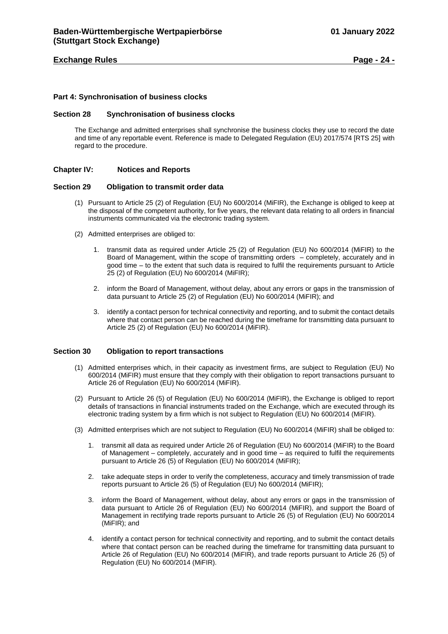# **Exchange Rules Page - 24 -**

#### <span id="page-23-0"></span>**Part 4: Synchronisation of business clocks**

#### <span id="page-23-1"></span>**Section 28 Synchronisation of business clocks**

The Exchange and admitted enterprises shall synchronise the business clocks they use to record the date and time of any reportable event. Reference is made to Delegated Regulation (EU) 2017/574 [RTS 25] with regard to the procedure.

# <span id="page-23-2"></span>**Chapter IV: Notices and Reports**

#### <span id="page-23-3"></span>**Section 29 Obligation to transmit order data**

- (1) Pursuant to Article 25 (2) of Regulation (EU) No 600/2014 (MiFIR), the Exchange is obliged to keep at the disposal of the competent authority, for five years, the relevant data relating to all orders in financial instruments communicated via the electronic trading system.
- (2) Admitted enterprises are obliged to:
	- 1. transmit data as required under Article 25 (2) of Regulation (EU) No 600/2014 (MiFIR) to the Board of Management, within the scope of transmitting orders – completely, accurately and in good time – to the extent that such data is required to fulfil the requirements pursuant to Article 25 (2) of Regulation (EU) No 600/2014 (MiFIR);
	- 2. inform the Board of Management, without delay, about any errors or gaps in the transmission of data pursuant to Article 25 (2) of Regulation (EU) No 600/2014 (MiFIR); and
	- 3. identify a contact person for technical connectivity and reporting, and to submit the contact details where that contact person can be reached during the timeframe for transmitting data pursuant to Article 25 (2) of Regulation (EU) No 600/2014 (MiFIR).

# <span id="page-23-4"></span>**Section 30 Obligation to report transactions**

- (1) Admitted enterprises which, in their capacity as investment firms, are subject to Regulation (EU) No 600/2014 (MiFIR) must ensure that they comply with their obligation to report transactions pursuant to Article 26 of Regulation (EU) No 600/2014 (MiFIR).
- (2) Pursuant to Article 26 (5) of Regulation (EU) No 600/2014 (MiFIR), the Exchange is obliged to report details of transactions in financial instruments traded on the Exchange, which are executed through its electronic trading system by a firm which is not subject to Regulation (EU) No 600/2014 (MiFIR).
- (3) Admitted enterprises which are not subject to Regulation (EU) No 600/2014 (MiFIR) shall be obliged to:
	- 1. transmit all data as required under Article 26 of Regulation (EU) No 600/2014 (MiFIR) to the Board of Management – completely, accurately and in good time – as required to fulfil the requirements pursuant to Article 26 (5) of Regulation (EU) No 600/2014 (MiFIR);
	- 2. take adequate steps in order to verify the completeness, accuracy and timely transmission of trade reports pursuant to Article 26 (5) of Regulation (EU) No 600/2014 (MiFIR);
	- 3. inform the Board of Management, without delay, about any errors or gaps in the transmission of data pursuant to Article 26 of Regulation (EU) No 600/2014 (MiFIR), and support the Board of Management in rectifying trade reports pursuant to Article 26 (5) of Regulation (EU) No 600/2014 (MiFIR); and
	- identify a contact person for technical connectivity and reporting, and to submit the contact details where that contact person can be reached during the timeframe for transmitting data pursuant to Article 26 of Regulation (EU) No 600/2014 (MiFIR), and trade reports pursuant to Article 26 (5) of Regulation (EU) No 600/2014 (MiFIR).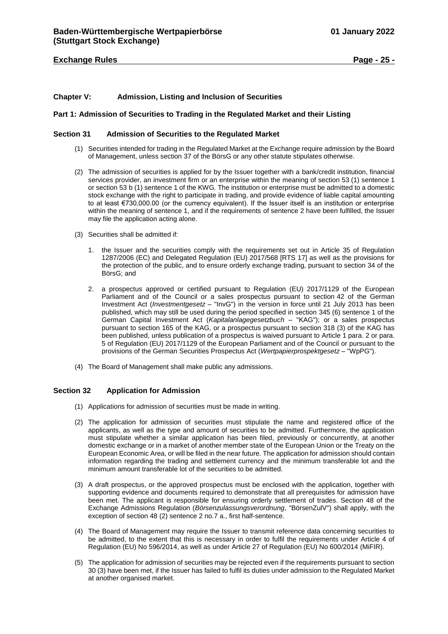# **Exchange Rules Page - 25 -**

# <span id="page-24-0"></span>**Chapter V: Admission, Listing and Inclusion of Securities**

#### <span id="page-24-1"></span>**Part 1: Admission of Securities to Trading in the Regulated Market and their Listing**

#### <span id="page-24-2"></span>**Section 31 Admission of Securities to the Regulated Market**

- (1) Securities intended for trading in the Regulated Market at the Exchange require admission by the Board of Management, unless section 37 of the BörsG or any other statute stipulates otherwise.
- (2) The admission of securities is applied for by the Issuer together with a bank/credit institution, financial services provider, an investment firm or an enterprise within the meaning of section 53 (1) sentence 1 or section 53 b (1) sentence 1 of the KWG. The institution or enterprise must be admitted to a domestic stock exchange with the right to participate in trading, and provide evidence of liable capital amounting to at least €730,000.00 (or the currency equivalent). If the Issuer itself is an institution or enterprise within the meaning of sentence 1, and if the requirements of sentence 2 have been fulfilled, the Issuer may file the application acting alone.
- (3) Securities shall be admitted if:
	- 1. the Issuer and the securities comply with the requirements set out in Article 35 of Regulation 1287/2006 (EC) and Delegated Regulation (EU) 2017/568 [RTS 17] as well as the provisions for the protection of the public, and to ensure orderly exchange trading, pursuant to section 34 of the BörsG; and
	- 2. a prospectus approved or certified pursuant to Regulation (EU) 2017/1129 of the European Parliament and of the Council or a sales prospectus pursuant to section 42 of the German Investment Act (*Investmentgesetz* – "InvG") in the version in force until 21 July 2013 has been published, which may still be used during the period specified in section 345 (6) sentence 1 of the German Capital Investment Act (*Kapitalanlagegesetzbuch* – "KAG"); or a sales prospectus pursuant to section 165 of the KAG, or a prospectus pursuant to section 318 (3) of the KAG has been published, unless publication of a prospectus is waived pursuant to Article 1 para. 2 or para. 5 of Regulation (EU) 2017/1129 of the European Parliament and of the Council or pursuant to the provisions of the German Securities Prospectus Act (*Wertpapierprospektgesetz* – "WpPG").
- (4) The Board of Management shall make public any admissions.

#### <span id="page-24-3"></span>**Section 32 Application for Admission**

- (1) Applications for admission of securities must be made in writing.
- (2) The application for admission of securities must stipulate the name and registered office of the applicants, as well as the type and amount of securities to be admitted. Furthermore, the application must stipulate whether a similar application has been filed, previously or concurrently, at another domestic exchange or in a market of another member state of the European Union or the Treaty on the European Economic Area, or will be filed in the near future. The application for admission should contain information regarding the trading and settlement currency and the minimum transferable lot and the minimum amount transferable lot of the securities to be admitted.
- (3) A draft prospectus, or the approved prospectus must be enclosed with the application, together with supporting evidence and documents required to demonstrate that all prerequisites for admission have been met. The applicant is responsible for ensuring orderly settlement of trades. Section 48 of the Exchange Admissions Regulation (*Börsenzulassungsverordnung*, "BörsenZulV") shall apply, with the exception of section 48 (2) sentence 2 no.7 a., first half-sentence.
- (4) The Board of Management may require the Issuer to transmit reference data concerning securities to be admitted, to the extent that this is necessary in order to fulfil the requirements under Article 4 of Regulation (EU) No 596/2014, as well as under Article 27 of Regulation (EU) No 600/2014 (MiFIR).
- (5) The application for admission of securities may be rejected even if the requirements pursuant to section 30 (3) have been met, if the Issuer has failed to fulfil its duties under admission to the Regulated Market at another organised market.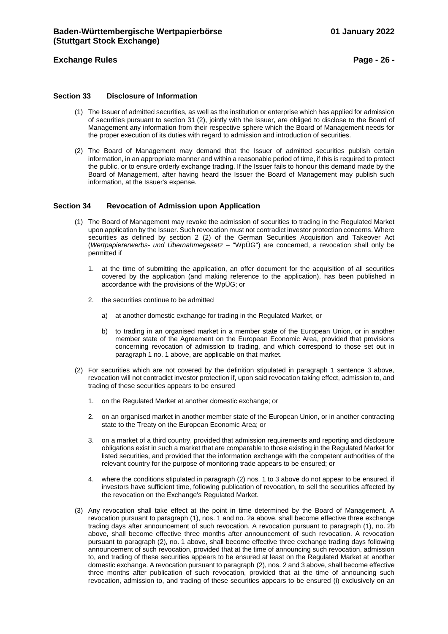# **Exchange Rules Page - 26 -**

# <span id="page-25-0"></span>**Section 33 Disclosure of Information**

- (1) The Issuer of admitted securities, as well as the institution or enterprise which has applied for admission of securities pursuant to section 31 (2), jointly with the Issuer, are obliged to disclose to the Board of Management any information from their respective sphere which the Board of Management needs for the proper execution of its duties with regard to admission and introduction of securities.
- (2) The Board of Management may demand that the Issuer of admitted securities publish certain information, in an appropriate manner and within a reasonable period of time, if this is required to protect the public, or to ensure orderly exchange trading. If the Issuer fails to honour this demand made by the Board of Management, after having heard the Issuer the Board of Management may publish such information, at the Issuer's expense.

#### <span id="page-25-1"></span>**Section 34 Revocation of Admission upon Application**

- (1) The Board of Management may revoke the admission of securities to trading in the Regulated Market upon application by the Issuer. Such revocation must not contradict investor protection concerns. Where securities as defined by section 2 (2) of the German Securities Acquisition and Takeover Act (*Wertpapiererwerbs- und Übernahmegesetz* – "WpÜG") are concerned, a revocation shall only be permitted if
	- 1. at the time of submitting the application, an offer document for the acquisition of all securities covered by the application (and making reference to the application), has been published in accordance with the provisions of the WpÜG; or
	- 2. the securities continue to be admitted
		- a) at another domestic exchange for trading in the Regulated Market, or
		- b) to trading in an organised market in a member state of the European Union, or in another member state of the Agreement on the European Economic Area, provided that provisions concerning revocation of admission to trading, and which correspond to those set out in paragraph 1 no. 1 above, are applicable on that market.
- (2) For securities which are not covered by the definition stipulated in paragraph 1 sentence 3 above, revocation will not contradict investor protection if, upon said revocation taking effect, admission to, and trading of these securities appears to be ensured
	- 1. on the Regulated Market at another domestic exchange; or
	- 2. on an organised market in another member state of the European Union, or in another contracting state to the Treaty on the European Economic Area; or
	- 3. on a market of a third country, provided that admission requirements and reporting and disclosure obligations exist in such a market that are comparable to those existing in the Regulated Market for listed securities, and provided that the information exchange with the competent authorities of the relevant country for the purpose of monitoring trade appears to be ensured; or
	- 4. where the conditions stipulated in paragraph (2) nos. 1 to 3 above do not appear to be ensured, if investors have sufficient time, following publication of revocation, to sell the securities affected by the revocation on the Exchange's Regulated Market.
- (3) Any revocation shall take effect at the point in time determined by the Board of Management. A revocation pursuant to paragraph (1), nos. 1 and no. 2a above, shall become effective three exchange trading days after announcement of such revocation. A revocation pursuant to paragraph (1), no. 2b above, shall become effective three months after announcement of such revocation. A revocation pursuant to paragraph (2), no. 1 above, shall become effective three exchange trading days following announcement of such revocation, provided that at the time of announcing such revocation, admission to, and trading of these securities appears to be ensured at least on the Regulated Market at another domestic exchange. A revocation pursuant to paragraph (2), nos. 2 and 3 above, shall become effective three months after publication of such revocation, provided that at the time of announcing such revocation, admission to, and trading of these securities appears to be ensured (i) exclusively on an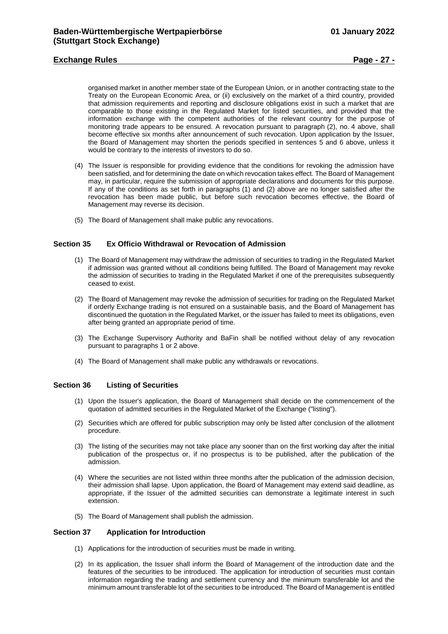# **Exchange Rules Page - 27 -**

organised market in another member state of the European Union, or in another contracting state to the Treaty on the European Economic Area, or (ii) exclusively on the market of a third country, provided that admission requirements and reporting and disclosure obligations exist in such a market that are comparable to those existing in the Regulated Market for listed securities, and provided that the information exchange with the competent authorities of the relevant country for the purpose of monitoring trade appears to be ensured. A revocation pursuant to paragraph (2), no. 4 above, shall become effective six months after announcement of such revocation. Upon application by the Issuer, the Board of Management may shorten the periods specified in sentences 5 and 6 above, unless it would be contrary to the interests of investors to do so.

- (4) The Issuer is responsible for providing evidence that the conditions for revoking the admission have been satisfied, and for determining the date on which revocation takes effect. The Board of Management may, in particular, require the submission of appropriate declarations and documents for this purpose. If any of the conditions as set forth in paragraphs (1) and (2) above are no longer satisfied after the revocation has been made public, but before such revocation becomes effective, the Board of Management may reverse its decision.
- (5) The Board of Management shall make public any revocations.

# <span id="page-26-0"></span>**Section 35 Ex Officio Withdrawal or Revocation of Admission**

- (1) The Board of Management may withdraw the admission of securities to trading in the Regulated Market if admission was granted without all conditions being fulfilled. The Board of Management may revoke the admission of securities to trading in the Regulated Market if one of the prerequisites subsequently ceased to exist.
- (2) The Board of Management may revoke the admission of securities for trading on the Regulated Market if orderly Exchange trading is not ensured on a sustainable basis, and the Board of Management has discontinued the quotation in the Regulated Market, or the issuer has failed to meet its obligations, even after being granted an appropriate period of time.
- (3) The Exchange Supervisory Authority and BaFin shall be notified without delay of any revocation pursuant to paragraphs 1 or 2 above.
- (4) The Board of Management shall make public any withdrawals or revocations.

# <span id="page-26-1"></span>**Section 36 Listing of Securities**

- (1) Upon the Issuer's application, the Board of Management shall decide on the commencement of the quotation of admitted securities in the Regulated Market of the Exchange ("listing").
- (2) Securities which are offered for public subscription may only be listed after conclusion of the allotment procedure.
- (3) The listing of the securities may not take place any sooner than on the first working day after the initial publication of the prospectus or, if no prospectus is to be published, after the publication of the admission.
- (4) Where the securities are not listed within three months after the publication of the admission decision, their admission shall lapse. Upon application, the Board of Management may extend said deadline, as appropriate, if the Issuer of the admitted securities can demonstrate a legitimate interest in such extension.
- (5) The Board of Management shall publish the admission.

#### <span id="page-26-2"></span>**Section 37 Application for Introduction**

- (1) Applications for the introduction of securities must be made in writing.
- (2) In its application, the Issuer shall inform the Board of Management of the introduction date and the features of the securities to be introduced. The application for introduction of securities must contain information regarding the trading and settlement currency and the minimum transferable lot and the minimum amount transferable lot of the securities to be introduced. The Board of Management is entitled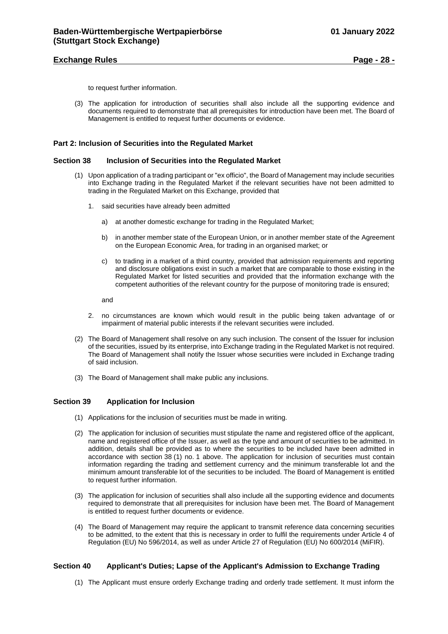# **Exchange Rules Page - 28 -**

to request further information.

(3) The application for introduction of securities shall also include all the supporting evidence and documents required to demonstrate that all prerequisites for introduction have been met. The Board of Management is entitled to request further documents or evidence.

#### <span id="page-27-0"></span>**Part 2: Inclusion of Securities into the Regulated Market**

#### <span id="page-27-1"></span>**Section 38 Inclusion of Securities into the Regulated Market**

- (1) Upon application of a trading participant or "ex officio", the Board of Management may include securities into Exchange trading in the Regulated Market if the relevant securities have not been admitted to trading in the Regulated Market on this Exchange, provided that
	- 1. said securities have already been admitted
		- a) at another domestic exchange for trading in the Regulated Market;
		- b) in another member state of the European Union, or in another member state of the Agreement on the European Economic Area, for trading in an organised market; or
		- c) to trading in a market of a third country, provided that admission requirements and reporting and disclosure obligations exist in such a market that are comparable to those existing in the Regulated Market for listed securities and provided that the information exchange with the competent authorities of the relevant country for the purpose of monitoring trade is ensured;

and

- 2. no circumstances are known which would result in the public being taken advantage of or impairment of material public interests if the relevant securities were included.
- (2) The Board of Management shall resolve on any such inclusion. The consent of the Issuer for inclusion of the securities, issued by its enterprise, into Exchange trading in the Regulated Market is not required. The Board of Management shall notify the Issuer whose securities were included in Exchange trading of said inclusion.
- (3) The Board of Management shall make public any inclusions.

#### <span id="page-27-2"></span>**Section 39 Application for Inclusion**

- (1) Applications for the inclusion of securities must be made in writing.
- (2) The application for inclusion of securities must stipulate the name and registered office of the applicant, name and registered office of the Issuer, as well as the type and amount of securities to be admitted. In addition, details shall be provided as to where the securities to be included have been admitted in accordance with section 38 (1) no. 1 above. The application for inclusion of securities must contain information regarding the trading and settlement currency and the minimum transferable lot and the minimum amount transferable lot of the securities to be included. The Board of Management is entitled to request further information.
- (3) The application for inclusion of securities shall also include all the supporting evidence and documents required to demonstrate that all prerequisites for inclusion have been met. The Board of Management is entitled to request further documents or evidence.
- (4) The Board of Management may require the applicant to transmit reference data concerning securities to be admitted, to the extent that this is necessary in order to fulfil the requirements under Article 4 of Regulation (EU) No 596/2014, as well as under Article 27 of Regulation (EU) No 600/2014 (MiFIR).

# <span id="page-27-3"></span>**Section 40 Applicant's Duties; Lapse of the Applicant's Admission to Exchange Trading**

(1) The Applicant must ensure orderly Exchange trading and orderly trade settlement. It must inform the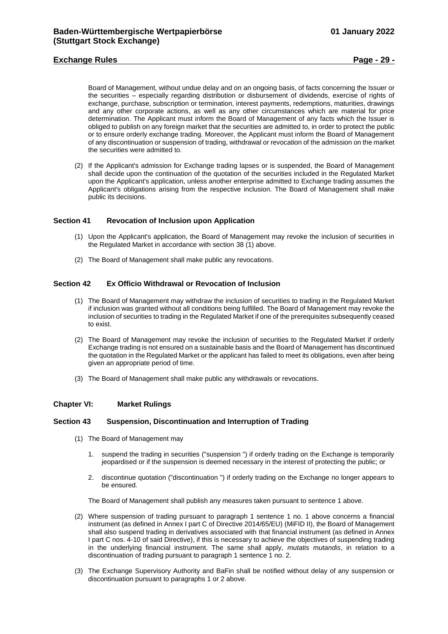# **Exchange Rules Page - 29 -**

Board of Management, without undue delay and on an ongoing basis, of facts concerning the Issuer or the securities – especially regarding distribution or disbursement of dividends, exercise of rights of exchange, purchase, subscription or termination, interest payments, redemptions, maturities, drawings and any other corporate actions, as well as any other circumstances which are material for price determination. The Applicant must inform the Board of Management of any facts which the Issuer is obliged to publish on any foreign market that the securities are admitted to, in order to protect the public or to ensure orderly exchange trading. Moreover, the Applicant must inform the Board of Management of any discontinuation or suspension of trading, withdrawal or revocation of the admission on the market the securities were admitted to.

(2) If the Applicant's admission for Exchange trading lapses or is suspended, the Board of Management shall decide upon the continuation of the quotation of the securities included in the Regulated Market upon the Applicant's application, unless another enterprise admitted to Exchange trading assumes the Applicant's obligations arising from the respective inclusion. The Board of Management shall make public its decisions.

## <span id="page-28-0"></span>**Section 41 Revocation of Inclusion upon Application**

- (1) Upon the Applicant's application, the Board of Management may revoke the inclusion of securities in the Regulated Market in accordance with section 38 (1) above.
- (2) The Board of Management shall make public any revocations.

# <span id="page-28-1"></span>**Section 42 Ex Officio Withdrawal or Revocation of Inclusion**

- (1) The Board of Management may withdraw the inclusion of securities to trading in the Regulated Market if inclusion was granted without all conditions being fulfilled. The Board of Management may revoke the inclusion of securities to trading in the Regulated Market if one of the prerequisites subsequently ceased to exist.
- (2) The Board of Management may revoke the inclusion of securities to the Regulated Market if orderly Exchange trading is not ensured on a sustainable basis and the Board of Management has discontinued the quotation in the Regulated Market or the applicant has failed to meet its obligations, even after being given an appropriate period of time.
- (3) The Board of Management shall make public any withdrawals or revocations.

#### <span id="page-28-2"></span>**Chapter VI: Market Rulings**

#### <span id="page-28-3"></span>**Section 43 Suspension, Discontinuation and Interruption of Trading**

- (1) The Board of Management may
	- 1. suspend the trading in securities ("suspension ") if orderly trading on the Exchange is temporarily jeopardised or if the suspension is deemed necessary in the interest of protecting the public; or
	- 2. discontinue quotation ("discontinuation ") if orderly trading on the Exchange no longer appears to be ensured.

The Board of Management shall publish any measures taken pursuant to sentence 1 above.

- (2) Where suspension of trading pursuant to paragraph 1 sentence 1 no. 1 above concerns a financial instrument (as defined in Annex I part C of Directive 2014/65/EU) (MiFID II), the Board of Management shall also suspend trading in derivatives associated with that financial instrument (as defined in Annex I part C nos. 4-10 of said Directive), if this is necessary to achieve the objectives of suspending trading in the underlying financial instrument. The same shall apply, *mutatis mutandis*, in relation to a discontinuation of trading pursuant to paragraph 1 sentence 1 no. 2.
- (3) The Exchange Supervisory Authority and BaFin shall be notified without delay of any suspension or discontinuation pursuant to paragraphs 1 or 2 above.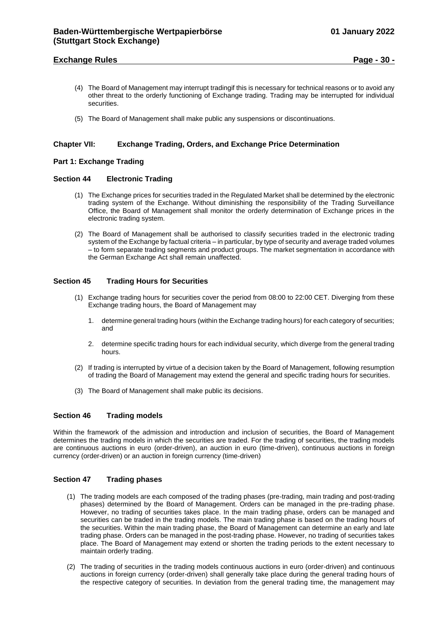# **Exchange Rules Page - 30 -**

- (4) The Board of Management may interrupt tradingif this is necessary for technical reasons or to avoid any other threat to the orderly functioning of Exchange trading. Trading may be interrupted for individual securities.
- (5) The Board of Management shall make public any suspensions or discontinuations.

#### <span id="page-29-0"></span>**Chapter VII: Exchange Trading, Orders, and Exchange Price Determination**

#### <span id="page-29-1"></span>**Part 1: Exchange Trading**

#### <span id="page-29-2"></span>**Section 44 Electronic Trading**

- (1) The Exchange prices for securities traded in the Regulated Market shall be determined by the electronic trading system of the Exchange. Without diminishing the responsibility of the Trading Surveillance Office, the Board of Management shall monitor the orderly determination of Exchange prices in the electronic trading system.
- (2) The Board of Management shall be authorised to classify securities traded in the electronic trading system of the Exchange by factual criteria – in particular, by type of security and average traded volumes – to form separate trading segments and product groups. The market segmentation in accordance with the German Exchange Act shall remain unaffected.

# <span id="page-29-3"></span>**Section 45 Trading Hours for Securities**

- (1) Exchange trading hours for securities cover the period from 08:00 to 22:00 CET. Diverging from these Exchange trading hours, the Board of Management may
	- 1. determine general trading hours (within the Exchange trading hours) for each category of securities; and
	- 2. determine specific trading hours for each individual security, which diverge from the general trading hours.
- (2) If trading is interrupted by virtue of a decision taken by the Board of Management, following resumption of trading the Board of Management may extend the general and specific trading hours for securities.
- (3) The Board of Management shall make public its decisions.

#### <span id="page-29-4"></span>**Section 46 Trading models**

Within the framework of the admission and introduction and inclusion of securities, the Board of Management determines the trading models in which the securities are traded. For the trading of securities, the trading models are continuous auctions in euro (order-driven), an auction in euro (time-driven), continuous auctions in foreign currency (order-driven) or an auction in foreign currency (time-driven)

#### <span id="page-29-5"></span>**Section 47 Trading phases**

- (1) The trading models are each composed of the trading phases (pre-trading, main trading and post-trading phases) determined by the Board of Management. Orders can be managed in the pre-trading phase. However, no trading of securities takes place. In the main trading phase, orders can be managed and securities can be traded in the trading models. The main trading phase is based on the trading hours of the securities. Within the main trading phase, the Board of Management can determine an early and late trading phase. Orders can be managed in the post-trading phase. However, no trading of securities takes place. The Board of Management may extend or shorten the trading periods to the extent necessary to maintain orderly trading.
- (2) The trading of securities in the trading models continuous auctions in euro (order-driven) and continuous auctions in foreign currency (order-driven) shall generally take place during the general trading hours of the respective category of securities. In deviation from the general trading time, the management may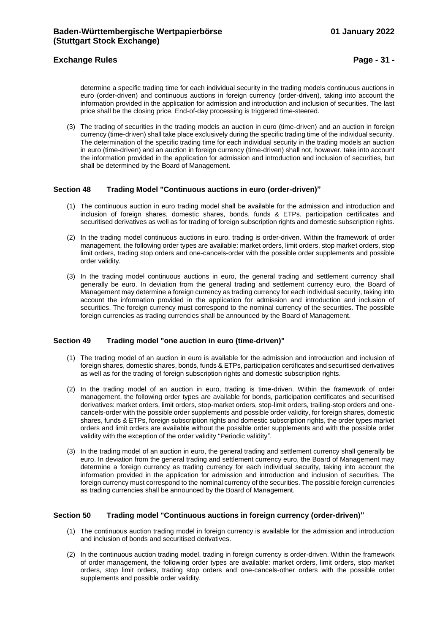# **Exchange Rules Page - 31 -**

determine a specific trading time for each individual security in the trading models continuous auctions in euro (order-driven) and continuous auctions in foreign currency (order-driven), taking into account the information provided in the application for admission and introduction and inclusion of securities. The last price shall be the closing price. End-of-day processing is triggered time-steered.

(3) The trading of securities in the trading models an auction in euro (time-driven) and an auction in foreign currency (time-driven) shall take place exclusively during the specific trading time of the individual security. The determination of the specific trading time for each individual security in the trading models an auction in euro (time-driven) and an auction in foreign currency (time-driven) shall not, however, take into account the information provided in the application for admission and introduction and inclusion of securities, but shall be determined by the Board of Management.

# <span id="page-30-0"></span>**Section 48 Trading Model "Continuous auctions in euro (order-driven)"**

- (1) The continuous auction in euro trading model shall be available for the admission and introduction and inclusion of foreign shares, domestic shares, bonds, funds & ETPs, participation certificates and securitised derivatives as well as for trading of foreign subscription rights and domestic subscription rights.
- (2) In the trading model continuous auctions in euro, trading is order-driven. Within the framework of order management, the following order types are available: market orders, limit orders, stop market orders, stop limit orders, trading stop orders and one-cancels-order with the possible order supplements and possible order validity.
- (3) In the trading model continuous auctions in euro, the general trading and settlement currency shall generally be euro. In deviation from the general trading and settlement currency euro, the Board of Management may determine a foreign currency as trading currency for each individual security, taking into account the information provided in the application for admission and introduction and inclusion of securities. The foreign currency must correspond to the nominal currency of the securities. The possible foreign currencies as trading currencies shall be announced by the Board of Management.

# <span id="page-30-1"></span>**Section 49 Trading model "one auction in euro (time-driven)"**

- (1) The trading model of an auction in euro is available for the admission and introduction and inclusion of foreign shares, domestic shares, bonds, funds & ETPs, participation certificates and securitised derivatives as well as for the trading of foreign subscription rights and domestic subscription rights.
- (2) In the trading model of an auction in euro, trading is time-driven. Within the framework of order management, the following order types are available for bonds, participation certificates and securitised derivatives: market orders, limit orders, stop-market orders, stop-limit orders, trailing-stop orders and onecancels-order with the possible order supplements and possible order validity, for foreign shares, domestic shares, funds & ETPs, foreign subscription rights and domestic subscription rights, the order types market orders and limit orders are available without the possible order supplements and with the possible order validity with the exception of the order validity "Periodic validity".
- (3) In the trading model of an auction in euro, the general trading and settlement currency shall generally be euro. In deviation from the general trading and settlement currency euro, the Board of Management may determine a foreign currency as trading currency for each individual security, taking into account the information provided in the application for admission and introduction and inclusion of securities. The foreign currency must correspond to the nominal currency of the securities. The possible foreign currencies as trading currencies shall be announced by the Board of Management.

# <span id="page-30-2"></span>**Section 50 Trading model "Continuous auctions in foreign currency (order-driven)"**

- (1) The continuous auction trading model in foreign currency is available for the admission and introduction and inclusion of bonds and securitised derivatives.
- (2) In the continuous auction trading model, trading in foreign currency is order-driven. Within the framework of order management, the following order types are available: market orders, limit orders, stop market orders, stop limit orders, trading stop orders and one-cancels-other orders with the possible order supplements and possible order validity.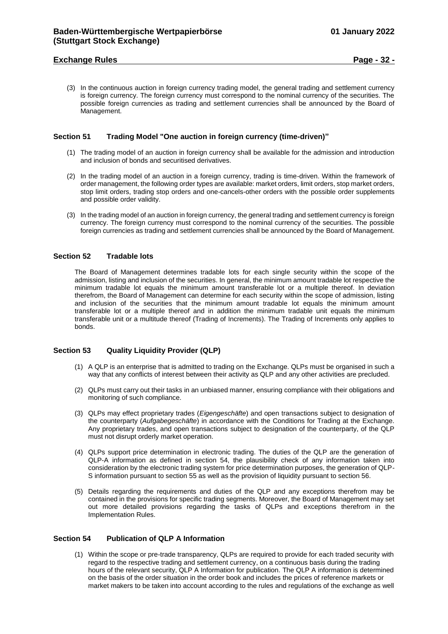# **Exchange Rules Page - 32 -**

(3) In the continuous auction in foreign currency trading model, the general trading and settlement currency is foreign currency. The foreign currency must correspond to the nominal currency of the securities. The possible foreign currencies as trading and settlement currencies shall be announced by the Board of Management.

# <span id="page-31-0"></span>**Section 51 Trading Model "One auction in foreign currency (time-driven)"**

- (1) The trading model of an auction in foreign currency shall be available for the admission and introduction and inclusion of bonds and securitised derivatives.
- (2) In the trading model of an auction in a foreign currency, trading is time-driven. Within the framework of order management, the following order types are available: market orders, limit orders, stop market orders, stop limit orders, trading stop orders and one-cancels-other orders with the possible order supplements and possible order validity.
- (3) In the trading model of an auction in foreign currency, the general trading and settlement currency is foreign currency. The foreign currency must correspond to the nominal currency of the securities. The possible foreign currencies as trading and settlement currencies shall be announced by the Board of Management.

# <span id="page-31-1"></span>**Section 52 Tradable lots**

The Board of Management determines tradable lots for each single security within the scope of the admission, listing and inclusion of the securities. In general, the minimum amount tradable lot respective the minimum tradable lot equals the minimum amount transferable lot or a multiple thereof. In deviation therefrom, the Board of Management can determine for each security within the scope of admission, listing and inclusion of the securities that the minimum amount tradable lot equals the minimum amount transferable lot or a multiple thereof and in addition the minimum tradable unit equals the minimum transferable unit or a multitude thereof (Trading of Increments). The Trading of Increments only applies to bonds.

# <span id="page-31-2"></span>**Section 53 Quality Liquidity Provider (QLP)**

- (1) A QLP is an enterprise that is admitted to trading on the Exchange. QLPs must be organised in such a way that any conflicts of interest between their activity as QLP and any other activities are precluded.
- (2) QLPs must carry out their tasks in an unbiased manner, ensuring compliance with their obligations and monitoring of such compliance.
- (3) QLPs may effect proprietary trades (*Eigengeschäfte*) and open transactions subject to designation of the counterparty (*Aufgabegeschäfte*) in accordance with the Conditions for Trading at the Exchange. Any proprietary trades, and open transactions subject to designation of the counterparty, of the QLP must not disrupt orderly market operation.
- (4) QLPs support price determination in electronic trading. The duties of the QLP are the generation of QLP-A information as defined in section 54, the plausibility check of any information taken into consideration by the electronic trading system for price determination purposes, the generation of QLP-S information pursuant to section 55 as well as the provision of liquidity pursuant to section 56.
- (5) Details regarding the requirements and duties of the QLP and any exceptions therefrom may be contained in the provisions for specific trading segments. Moreover, the Board of Management may set out more detailed provisions regarding the tasks of QLPs and exceptions therefrom in the Implementation Rules.

# <span id="page-31-3"></span>**Section 54 Publication of QLP A Information**

(1) Within the scope or pre-trade transparency, QLPs are required to provide for each traded security with regard to the respective trading and settlement currency, on a continuous basis during the trading hours of the relevant security, QLP A Information for publication. The QLP A information is determined on the basis of the order situation in the order book and includes the prices of reference markets or market makers to be taken into account according to the rules and regulations of the exchange as well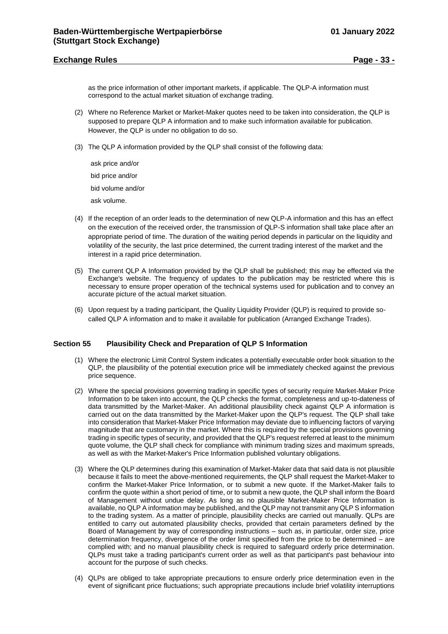# **Exchange Rules Page - 33 -**

as the price information of other important markets, if applicable. The QLP-A information must correspond to the actual market situation of exchange trading.

- (2) Where no Reference Market or Market-Maker quotes need to be taken into consideration, the QLP is supposed to prepare QLP A information and to make such information available for publication. However, the QLP is under no obligation to do so.
- (3) The QLP A information provided by the QLP shall consist of the following data:

ask price and/or bid price and/or bid volume and/or ask volume.

- (4) If the reception of an order leads to the determination of new QLP-A information and this has an effect on the execution of the received order, the transmission of QLP-S information shall take place after an appropriate period of time. The duration of the waiting period depends in particular on the liquidity and volatility of the security, the last price determined, the current trading interest of the market and the interest in a rapid price determination.
- (5) The current QLP A Information provided by the QLP shall be published; this may be effected via the Exchange's website. The frequency of updates to the publication may be restricted where this is necessary to ensure proper operation of the technical systems used for publication and to convey an accurate picture of the actual market situation.
- (6) Upon request by a trading participant, the Quality Liquidity Provider (QLP) is required to provide socalled QLP A information and to make it available for publication (Arranged Exchange Trades).

# <span id="page-32-0"></span>**Section 55 Plausibility Check and Preparation of QLP S Information**

- (1) Where the electronic Limit Control System indicates a potentially executable order book situation to the QLP, the plausibility of the potential execution price will be immediately checked against the previous price sequence.
- (2) Where the special provisions governing trading in specific types of security require Market-Maker Price Information to be taken into account, the QLP checks the format, completeness and up-to-dateness of data transmitted by the Market-Maker. An additional plausibility check against QLP A information is carried out on the data transmitted by the Market-Maker upon the QLP's request. The QLP shall take into consideration that Market-Maker Price Information may deviate due to influencing factors of varying magnitude that are customary in the market. Where this is required by the special provisions governing trading in specific types of security, and provided that the QLP's request referred at least to the minimum quote volume, the QLP shall check for compliance with minimum trading sizes and maximum spreads, as well as with the Market-Maker's Price Information published voluntary obligations.
- (3) Where the QLP determines during this examination of Market-Maker data that said data is not plausible because it fails to meet the above-mentioned requirements, the QLP shall request the Market-Maker to confirm the Market-Maker Price Information, or to submit a new quote. If the Market-Maker fails to confirm the quote within a short period of time, or to submit a new quote, the QLP shall inform the Board of Management without undue delay. As long as no plausible Market-Maker Price Information is available, no QLP A information may be published, and the QLP may not transmit any QLP S information to the trading system. As a matter of principle, plausibility checks are carried out manually. QLPs are entitled to carry out automated plausibility checks, provided that certain parameters defined by the Board of Management by way of corresponding instructions – such as, in particular, order size, price determination frequency, divergence of the order limit specified from the price to be determined – are complied with; and no manual plausibility check is required to safeguard orderly price determination. QLPs must take a trading participant's current order as well as that participant's past behaviour into account for the purpose of such checks.
- (4) QLPs are obliged to take appropriate precautions to ensure orderly price determination even in the event of significant price fluctuations; such appropriate precautions include brief volatility interruptions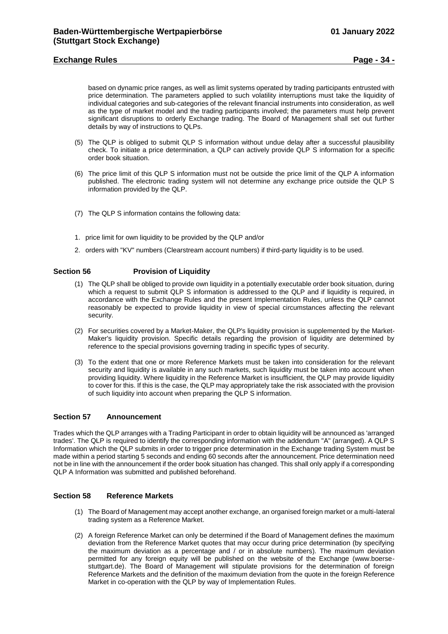# **Exchange Rules Page - 34 -**

based on dynamic price ranges, as well as limit systems operated by trading participants entrusted with price determination. The parameters applied to such volatility interruptions must take the liquidity of individual categories and sub-categories of the relevant financial instruments into consideration, as well as the type of market model and the trading participants involved; the parameters must help prevent significant disruptions to orderly Exchange trading. The Board of Management shall set out further details by way of instructions to QLPs.

- (5) The QLP is obliged to submit QLP S information without undue delay after a successful plausibility check. To initiate a price determination, a QLP can actively provide QLP S information for a specific order book situation.
- (6) The price limit of this QLP S information must not be outside the price limit of the QLP A information published. The electronic trading system will not determine any exchange price outside the QLP S information provided by the QLP.
- (7) The QLP S information contains the following data:
- 1. price limit for own liquidity to be provided by the QLP and/or
- 2. orders with "KV" numbers (Clearstream account numbers) if third-party liquidity is to be used.

# **Section 56 Provision of Liquidity**

- <span id="page-33-0"></span>(1) The QLP shall be obliged to provide own liquidity in a potentially executable order book situation, during which a request to submit QLP S information is addressed to the QLP and if liquidity is required, in accordance with the Exchange Rules and the present Implementation Rules, unless the QLP cannot reasonably be expected to provide liquidity in view of special circumstances affecting the relevant security.
- (2) For securities covered by a Market-Maker, the QLP's liquidity provision is supplemented by the Market-Maker's liquidity provision. Specific details regarding the provision of liquidity are determined by reference to the special provisions governing trading in specific types of security.
- (3) To the extent that one or more Reference Markets must be taken into consideration for the relevant security and liquidity is available in any such markets, such liquidity must be taken into account when providing liquidity. Where liquidity in the Reference Market is insufficient, the QLP may provide liquidity to cover for this. If this is the case, the QLP may appropriately take the risk associated with the provision of such liquidity into account when preparing the QLP S information.

#### <span id="page-33-1"></span>**Section 57 Announcement**

Trades which the QLP arranges with a Trading Participant in order to obtain liquidity will be announced as 'arranged trades'. The QLP is required to identify the corresponding information with the addendum "A" (arranged). A QLP S Information which the QLP submits in order to trigger price determination in the Exchange trading System must be made within a period starting 5 seconds and ending 60 seconds after the announcement. Price determination need not be in line with the announcement if the order book situation has changed. This shall only apply if a corresponding QLP A Information was submitted and published beforehand.

# <span id="page-33-2"></span>**Section 58 Reference Markets**

- (1) The Board of Management may accept another exchange, an organised foreign market or a multi-lateral trading system as a Reference Market.
- (2) A foreign Reference Market can only be determined if the Board of Management defines the maximum deviation from the Reference Market quotes that may occur during price determination (by specifying the maximum deviation as a percentage and / or in absolute numbers). The maximum deviation permitted for any foreign equity will be published on the website of the Exchange (www.boersestuttgart.de). The Board of Management will stipulate provisions for the determination of foreign Reference Markets and the definition of the maximum deviation from the quote in the foreign Reference Market in co-operation with the QLP by way of Implementation Rules.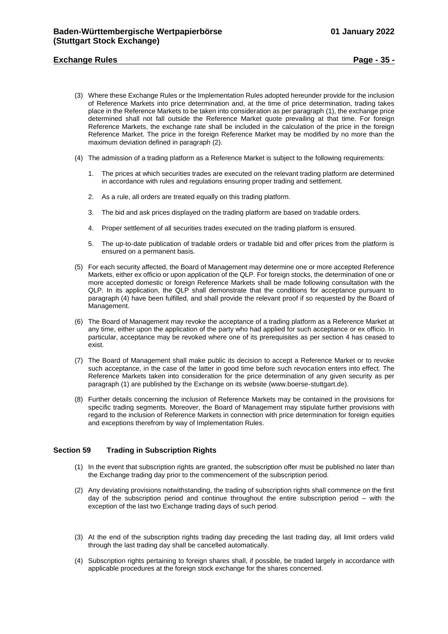# **Exchange Rules Page - 35 -**

- (3) Where these Exchange Rules or the Implementation Rules adopted hereunder provide for the inclusion of Reference Markets into price determination and, at the time of price determination, trading takes place in the Reference Markets to be taken into consideration as per paragraph (1), the exchange price determined shall not fall outside the Reference Market quote prevailing at that time. For foreign Reference Markets, the exchange rate shall be included in the calculation of the price in the foreign Reference Market. The price in the foreign Reference Market may be modified by no more than the maximum deviation defined in paragraph (2).
- (4) The admission of a trading platform as a Reference Market is subject to the following requirements:
	- 1. The prices at which securities trades are executed on the relevant trading platform are determined in accordance with rules and regulations ensuring proper trading and settlement.
	- 2. As a rule, all orders are treated equally on this trading platform.
	- 3. The bid and ask prices displayed on the trading platform are based on tradable orders.
	- 4. Proper settlement of all securities trades executed on the trading platform is ensured.
	- 5. The up-to-date publication of tradable orders or tradable bid and offer prices from the platform is ensured on a permanent basis.
- (5) For each security affected, the Board of Management may determine one or more accepted Reference Markets, either ex officio or upon application of the QLP. For foreign stocks, the determination of one or more accepted domestic or foreign Reference Markets shall be made following consultation with the QLP. In its application, the QLP shall demonstrate that the conditions for acceptance pursuant to paragraph (4) have been fulfilled, and shall provide the relevant proof if so requested by the Board of Management.
- (6) The Board of Management may revoke the acceptance of a trading platform as a Reference Market at any time, either upon the application of the party who had applied for such acceptance or ex officio. In particular, acceptance may be revoked where one of its prerequisites as per section 4 has ceased to exist.
- (7) The Board of Management shall make public its decision to accept a Reference Market or to revoke such acceptance, in the case of the latter in good time before such revocation enters into effect. The Reference Markets taken into consideration for the price determination of any given security as per paragraph (1) are published by the Exchange on its website (www.boerse-stuttgart.de).
- (8) Further details concerning the inclusion of Reference Markets may be contained in the provisions for specific trading segments. Moreover, the Board of Management may stipulate further provisions with regard to the inclusion of Reference Markets in connection with price determination for foreign equities and exceptions therefrom by way of Implementation Rules.

#### <span id="page-34-0"></span>**Section 59 Trading in Subscription Rights**

- (1) In the event that subscription rights are granted, the subscription offer must be published no later than the Exchange trading day prior to the commencement of the subscription period.
- (2) Any deviating provisions notwithstanding, the trading of subscription rights shall commence on the first day of the subscription period and continue throughout the entire subscription period – with the exception of the last two Exchange trading days of such period.
- (3) At the end of the subscription rights trading day preceding the last trading day, all limit orders valid through the last trading day shall be cancelled automatically.
- (4) Subscription rights pertaining to foreign shares shall, if possible, be traded largely in accordance with applicable procedures at the foreign stock exchange for the shares concerned.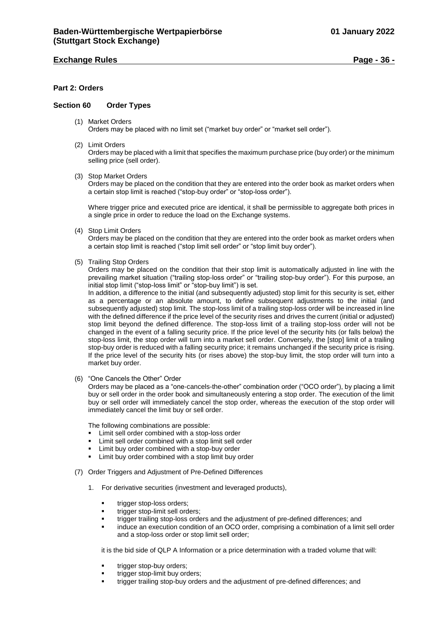# **Exchange Rules Page - 36 -**

# <span id="page-35-0"></span>**Part 2: Orders**

#### <span id="page-35-1"></span>**Section 60 Order Types**

- (1) Market Orders Orders may be placed with no limit set ("market buy order" or "market sell order").
- (2) Limit Orders

Orders may be placed with a limit that specifies the maximum purchase price (buy order) or the minimum selling price (sell order).

(3) Stop Market Orders

Orders may be placed on the condition that they are entered into the order book as market orders when a certain stop limit is reached ("stop-buy order" or "stop-loss order").

Where trigger price and executed price are identical, it shall be permissible to aggregate both prices in a single price in order to reduce the load on the Exchange systems.

(4) Stop Limit Orders

Orders may be placed on the condition that they are entered into the order book as market orders when a certain stop limit is reached ("stop limit sell order" or "stop limit buy order").

(5) Trailing Stop Orders

Orders may be placed on the condition that their stop limit is automatically adjusted in line with the prevailing market situation ("trailing stop-loss order" or "trailing stop-buy order"). For this purpose, an initial stop limit ("stop-loss limit" or "stop-buy limit") is set.

In addition, a difference to the initial (and subsequently adjusted) stop limit for this security is set, either as a percentage or an absolute amount, to define subsequent adjustments to the initial (and subsequently adjusted) stop limit. The stop-loss limit of a trailing stop-loss order will be increased in line with the defined difference if the price level of the security rises and drives the current (initial or adjusted) stop limit beyond the defined difference. The stop-loss limit of a trailing stop-loss order will not be changed in the event of a falling security price. If the price level of the security hits (or falls below) the stop-loss limit, the stop order will turn into a market sell order. Conversely, the [stop] limit of a trailing stop-buy order is reduced with a falling security price; it remains unchanged if the security price is rising. If the price level of the security hits (or rises above) the stop-buy limit, the stop order will turn into a market buy order.

(6) "One Cancels the Other" Order

Orders may be placed as a "one-cancels-the-other" combination order ("OCO order"), by placing a limit buy or sell order in the order book and simultaneously entering a stop order. The execution of the limit buy or sell order will immediately cancel the stop order, whereas the execution of the stop order will immediately cancel the limit buy or sell order.

The following combinations are possible:

- Limit sell order combined with a stop-loss order
- Limit sell order combined with a stop limit sell order
- Limit buy order combined with a stop-buy order
- Limit buy order combined with a stop limit buy order
- (7) Order Triggers and Adjustment of Pre-Defined Differences
	- 1. For derivative securities (investment and leveraged products),
		- trigger stop-loss orders;
		- trigger stop-limit sell orders;
		- trigger trailing stop-loss orders and the adjustment of pre-defined differences; and
		- induce an execution condition of an OCO order, comprising a combination of a limit sell order and a stop-loss order or stop limit sell order;

it is the bid side of QLP A Information or a price determination with a traded volume that will:

- trigger stop-buy orders:
- trigger stop-limit buy orders;
- trigger trailing stop-buy orders and the adjustment of pre-defined differences; and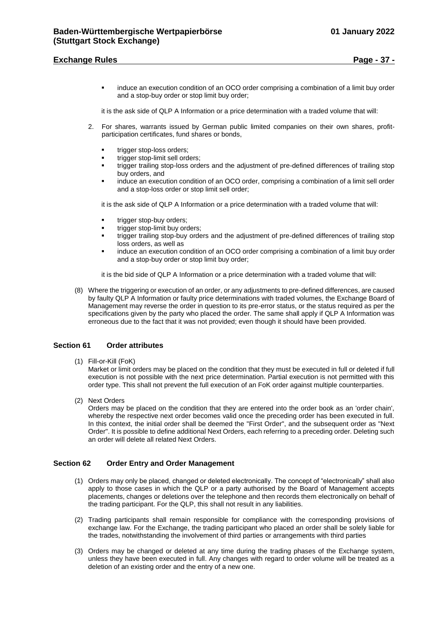# **Exchange Rules Page - 37 -**

 induce an execution condition of an OCO order comprising a combination of a limit buy order and a stop-buy order or stop limit buy order;

it is the ask side of QLP A Information or a price determination with a traded volume that will:

- 2. For shares, warrants issued by German public limited companies on their own shares, profitparticipation certificates, fund shares or bonds,
	- trigger stop-loss orders;
	- trigger stop-limit sell orders;
	- trigger trailing stop-loss orders and the adjustment of pre-defined differences of trailing stop buy orders, and
	- induce an execution condition of an OCO order, comprising a combination of a limit sell order and a stop-loss order or stop limit sell order;

it is the ask side of QLP A Information or a price determination with a traded volume that will:

- trigger stop-buy orders;
- trigger stop-limit buy orders;
- trigger trailing stop-buy orders and the adjustment of pre-defined differences of trailing stop loss orders, as well as
- induce an execution condition of an OCO order comprising a combination of a limit buy order and a stop-buy order or stop limit buy order;

it is the bid side of QLP A Information or a price determination with a traded volume that will:

(8) Where the triggering or execution of an order, or any adjustments to pre-defined differences, are caused by faulty QLP A Information or faulty price determinations with traded volumes, the Exchange Board of Management may reverse the order in question to its pre-error status, or the status required as per the specifications given by the party who placed the order. The same shall apply if QLP A Information was erroneous due to the fact that it was not provided; even though it should have been provided.

#### <span id="page-36-0"></span>**Section 61 Order attributes**

(1) Fill-or-Kill (FoK)

Market or limit orders may be placed on the condition that they must be executed in full or deleted if full execution is not possible with the next price determination. Partial execution is not permitted with this order type. This shall not prevent the full execution of an FoK order against multiple counterparties.

(2) Next Orders

Orders may be placed on the condition that they are entered into the order book as an 'order chain', whereby the respective next order becomes valid once the preceding order has been executed in full. In this context, the initial order shall be deemed the "First Order", and the subsequent order as "Next Order". It is possible to define additional Next Orders, each referring to a preceding order. Deleting such an order will delete all related Next Orders.

#### <span id="page-36-1"></span>**Section 62 Order Entry and Order Management**

- (1) Orders may only be placed, changed or deleted electronically. The concept of "electronically" shall also apply to those cases in which the QLP or a party authorised by the Board of Management accepts placements, changes or deletions over the telephone and then records them electronically on behalf of the trading participant. For the QLP, this shall not result in any liabilities.
- (2) Trading participants shall remain responsible for compliance with the corresponding provisions of exchange law. For the Exchange, the trading participant who placed an order shall be solely liable for the trades, notwithstanding the involvement of third parties or arrangements with third parties
- (3) Orders may be changed or deleted at any time during the trading phases of the Exchange system, unless they have been executed in full. Any changes with regard to order volume will be treated as a deletion of an existing order and the entry of a new one.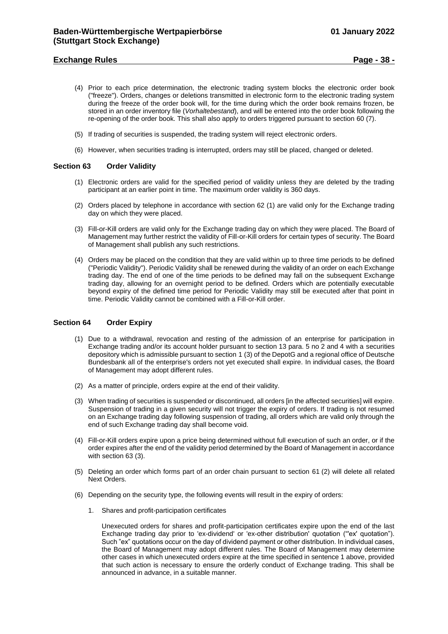# **Exchange Rules Page - 38 -**

- (4) Prior to each price determination, the electronic trading system blocks the electronic order book ("freeze"). Orders, changes or deletions transmitted in electronic form to the electronic trading system during the freeze of the order book will, for the time during which the order book remains frozen, be stored in an order inventory file (*Vorhaltebestand*), and will be entered into the order book following the re-opening of the order book. This shall also apply to orders triggered pursuant to section 60 (7).
- (5) If trading of securities is suspended, the trading system will reject electronic orders.
- (6) However, when securities trading is interrupted, orders may still be placed, changed or deleted.

#### <span id="page-37-0"></span>**Section 63 Order Validity**

- (1) Electronic orders are valid for the specified period of validity unless they are deleted by the trading participant at an earlier point in time. The maximum order validity is 360 days.
- (2) Orders placed by telephone in accordance with section 62 (1) are valid only for the Exchange trading day on which they were placed.
- (3) Fill-or-Kill orders are valid only for the Exchange trading day on which they were placed. The Board of Management may further restrict the validity of Fill-or-Kill orders for certain types of security. The Board of Management shall publish any such restrictions.
- (4) Orders may be placed on the condition that they are valid within up to three time periods to be defined ("Periodic Validity"). Periodic Validity shall be renewed during the validity of an order on each Exchange trading day. The end of one of the time periods to be defined may fall on the subsequent Exchange trading day, allowing for an overnight period to be defined. Orders which are potentially executable beyond expiry of the defined time period for Periodic Validity may still be executed after that point in time. Periodic Validity cannot be combined with a Fill-or-Kill order.

# <span id="page-37-1"></span>**Section 64 Order Expiry**

- (1) Due to a withdrawal, revocation and resting of the admission of an enterprise for participation in Exchange trading and/or its account holder pursuant to section 13 para. 5 no 2 and 4 with a securities depository which is admissible pursuant to section 1 (3) of the DepotG and a regional office of Deutsche Bundesbank all of the enterprise's orders not yet executed shall expire. In individual cases, the Board of Management may adopt different rules.
- (2) As a matter of principle, orders expire at the end of their validity.
- (3) When trading of securities is suspended or discontinued, all orders [in the affected securities] will expire. Suspension of trading in a given security will not trigger the expiry of orders. If trading is not resumed on an Exchange trading day following suspension of trading, all orders which are valid only through the end of such Exchange trading day shall become void.
- (4) Fill-or-Kill orders expire upon a price being determined without full execution of such an order, or if the order expires after the end of the validity period determined by the Board of Management in accordance with section 63 (3).
- (5) Deleting an order which forms part of an order chain pursuant to section 61 (2) will delete all related Next Orders.
- (6) Depending on the security type, the following events will result in the expiry of orders:
	- 1. Shares and profit-participation certificates

Unexecuted orders for shares and profit-participation certificates expire upon the end of the last Exchange trading day prior to 'ex-dividend' or 'ex-other distribution' quotation ("'ex' quotation"). Such "ex" quotations occur on the day of dividend payment or other distribution. In individual cases, the Board of Management may adopt different rules. The Board of Management may determine other cases in which unexecuted orders expire at the time specified in sentence 1 above, provided that such action is necessary to ensure the orderly conduct of Exchange trading. This shall be announced in advance, in a suitable manner.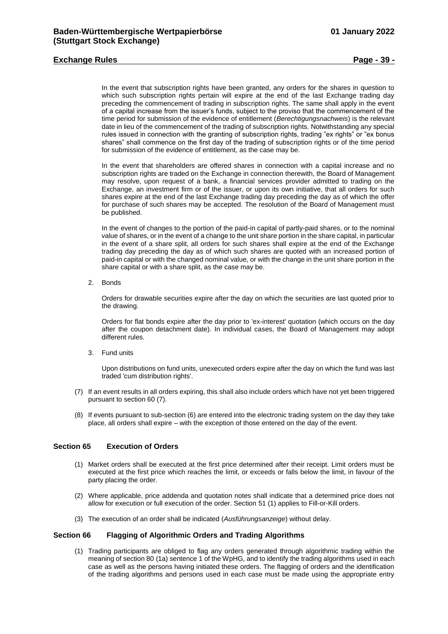# **Exchange Rules Page - 39 -**

In the event that subscription rights have been granted, any orders for the shares in question to which such subscription rights pertain will expire at the end of the last Exchange trading day preceding the commencement of trading in subscription rights. The same shall apply in the event of a capital increase from the issuer's funds, subject to the proviso that the commencement of the time period for submission of the evidence of entitlement (*Berechtigungsnachweis*) is the relevant date in lieu of the commencement of the trading of subscription rights. Notwithstanding any special rules issued in connection with the granting of subscription rights, trading "ex rights" or "ex bonus shares" shall commence on the first day of the trading of subscription rights or of the time period for submission of the evidence of entitlement, as the case may be.

In the event that shareholders are offered shares in connection with a capital increase and no subscription rights are traded on the Exchange in connection therewith, the Board of Management may resolve, upon request of a bank, a financial services provider admitted to trading on the Exchange, an investment firm or of the issuer, or upon its own initiative, that all orders for such shares expire at the end of the last Exchange trading day preceding the day as of which the offer for purchase of such shares may be accepted. The resolution of the Board of Management must be published.

In the event of changes to the portion of the paid-in capital of partly-paid shares, or to the nominal value of shares, or in the event of a change to the unit share portion in the share capital, in particular in the event of a share split, all orders for such shares shall expire at the end of the Exchange trading day preceding the day as of which such shares are quoted with an increased portion of paid-in capital or with the changed nominal value, or with the change in the unit share portion in the share capital or with a share split, as the case may be.

2. Bonds

Orders for drawable securities expire after the day on which the securities are last quoted prior to the drawing.

Orders for flat bonds expire after the day prior to 'ex-interest' quotation (which occurs on the day after the coupon detachment date). In individual cases, the Board of Management may adopt different rules.

3. Fund units

Upon distributions on fund units, unexecuted orders expire after the day on which the fund was last traded 'cum distribution rights'.

- (7) If an event results in all orders expiring, this shall also include orders which have not yet been triggered pursuant to section 60 (7).
- (8) If events pursuant to sub-section (6) are entered into the electronic trading system on the day they take place, all orders shall expire – with the exception of those entered on the day of the event.

# <span id="page-38-0"></span>**Section 65 Execution of Orders**

- (1) Market orders shall be executed at the first price determined after their receipt. Limit orders must be executed at the first price which reaches the limit, or exceeds or falls below the limit, in favour of the party placing the order.
- (2) Where applicable, price addenda and quotation notes shall indicate that a determined price does not allow for execution or full execution of the order. Section 51 (1) applies to Fill-or-Kill orders.
- (3) The execution of an order shall be indicated (*Ausführungsanzeige*) without delay.

# <span id="page-38-1"></span>**Section 66 Flagging of Algorithmic Orders and Trading Algorithms**

(1) Trading participants are obliged to flag any orders generated through algorithmic trading within the meaning of section 80 (1a) sentence 1 of the WpHG, and to identify the trading algorithms used in each case as well as the persons having initiated these orders. The flagging of orders and the identification of the trading algorithms and persons used in each case must be made using the appropriate entry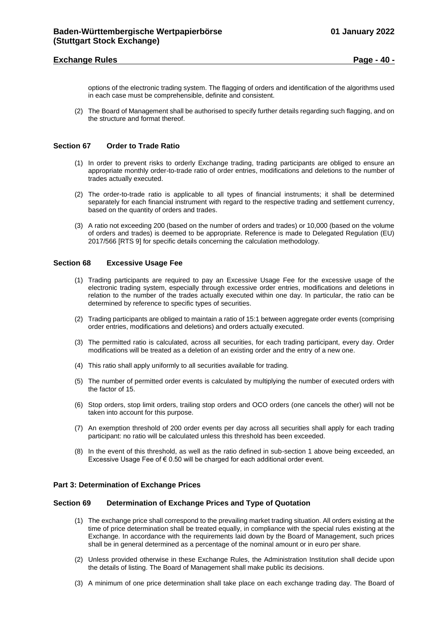# **Exchange Rules Page - 40 -**

options of the electronic trading system. The flagging of orders and identification of the algorithms used in each case must be comprehensible, definite and consistent.

(2) The Board of Management shall be authorised to specify further details regarding such flagging, and on the structure and format thereof.

#### <span id="page-39-0"></span>**Section 67 Order to Trade Ratio**

- (1) In order to prevent risks to orderly Exchange trading, trading participants are obliged to ensure an appropriate monthly order-to-trade ratio of order entries, modifications and deletions to the number of trades actually executed.
- (2) The order-to-trade ratio is applicable to all types of financial instruments; it shall be determined separately for each financial instrument with regard to the respective trading and settlement currency, based on the quantity of orders and trades.
- (3) A ratio not exceeding 200 (based on the number of orders and trades) or 10,000 (based on the volume of orders and trades) is deemed to be appropriate. Reference is made to Delegated Regulation (EU) 2017/566 [RTS 9] for specific details concerning the calculation methodology.

#### <span id="page-39-1"></span>**Section 68 Excessive Usage Fee**

- (1) Trading participants are required to pay an Excessive Usage Fee for the excessive usage of the electronic trading system, especially through excessive order entries, modifications and deletions in relation to the number of the trades actually executed within one day. In particular, the ratio can be determined by reference to specific types of securities.
- (2) Trading participants are obliged to maintain a ratio of 15:1 between aggregate order events (comprising order entries, modifications and deletions) and orders actually executed.
- (3) The permitted ratio is calculated, across all securities, for each trading participant, every day. Order modifications will be treated as a deletion of an existing order and the entry of a new one.
- (4) This ratio shall apply uniformly to all securities available for trading.
- (5) The number of permitted order events is calculated by multiplying the number of executed orders with the factor of 15.
- (6) Stop orders, stop limit orders, trailing stop orders and OCO orders (one cancels the other) will not be taken into account for this purpose.
- (7) An exemption threshold of 200 order events per day across all securities shall apply for each trading participant: no ratio will be calculated unless this threshold has been exceeded.
- (8) In the event of this threshold, as well as the ratio defined in sub-section 1 above being exceeded, an Excessive Usage Fee of € 0.50 will be charged for each additional order event.

#### <span id="page-39-2"></span>**Part 3: Determination of Exchange Prices**

## <span id="page-39-3"></span>**Section 69 Determination of Exchange Prices and Type of Quotation**

- (1) The exchange price shall correspond to the prevailing market trading situation. All orders existing at the time of price determination shall be treated equally, in compliance with the special rules existing at the Exchange. In accordance with the requirements laid down by the Board of Management, such prices shall be in general determined as a percentage of the nominal amount or in euro per share.
- (2) Unless provided otherwise in these Exchange Rules, the Administration Institution shall decide upon the details of listing. The Board of Management shall make public its decisions.
- (3) A minimum of one price determination shall take place on each exchange trading day. The Board of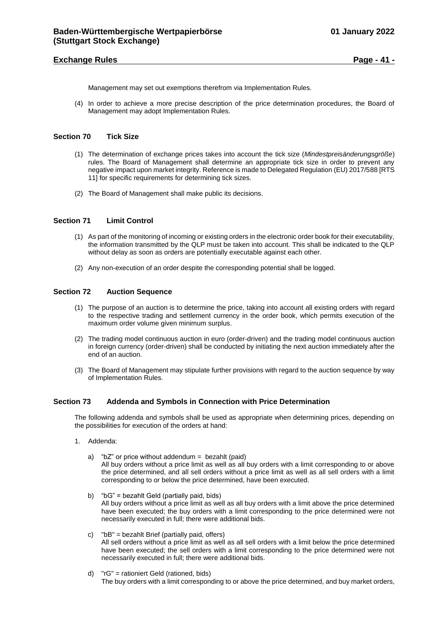Management may set out exemptions therefrom via Implementation Rules.

(4) In order to achieve a more precise description of the price determination procedures, the Board of Management may adopt Implementation Rules.

# <span id="page-40-0"></span>**Section 70 Tick Size**

- (1) The determination of exchange prices takes into account the tick size (*Mindestpreisänderungsgröße*) rules. The Board of Management shall determine an appropriate tick size in order to prevent any negative impact upon market integrity. Reference is made to Delegated Regulation (EU) 2017/588 [RTS 11] for specific requirements for determining tick sizes.
- (2) The Board of Management shall make public its decisions.

# <span id="page-40-1"></span>**Section 71 Limit Control**

- (1) As part of the monitoring of incoming or existing orders in the electronic order book for their executability, the information transmitted by the QLP must be taken into account. This shall be indicated to the QLP without delay as soon as orders are potentially executable against each other.
- (2) Any non-execution of an order despite the corresponding potential shall be logged.

# <span id="page-40-2"></span>**Section 72 Auction Sequence**

- (1) The purpose of an auction is to determine the price, taking into account all existing orders with regard to the respective trading and settlement currency in the order book, which permits execution of the maximum order volume given minimum surplus.
- (2) The trading model continuous auction in euro (order-driven) and the trading model continuous auction in foreign currency (order-driven) shall be conducted by initiating the next auction immediately after the end of an auction.
- (3) The Board of Management may stipulate further provisions with regard to the auction sequence by way of Implementation Rules.

# <span id="page-40-3"></span>**Section 73 Addenda and Symbols in Connection with Price Determination**

The following addenda and symbols shall be used as appropriate when determining prices, depending on the possibilities for execution of the orders at hand:

- 1. Addenda:
	- a) "bZ" or price without addendum = bezahlt (paid) All buy orders without a price limit as well as all buy orders with a limit corresponding to or above the price determined, and all sell orders without a price limit as well as all sell orders with a limit corresponding to or below the price determined, have been executed.
	- b) "bG" = bezahlt Geld (partially paid, bids) All buy orders without a price limit as well as all buy orders with a limit above the price determined have been executed; the buy orders with a limit corresponding to the price determined were not necessarily executed in full; there were additional bids.
	- c) "bB" = bezahlt Brief (partially paid, offers) All sell orders without a price limit as well as all sell orders with a limit below the price determined have been executed; the sell orders with a limit corresponding to the price determined were not necessarily executed in full; there were additional bids.
	- d) "rG" = rationiert Geld (rationed, bids) The buy orders with a limit corresponding to or above the price determined, and buy market orders,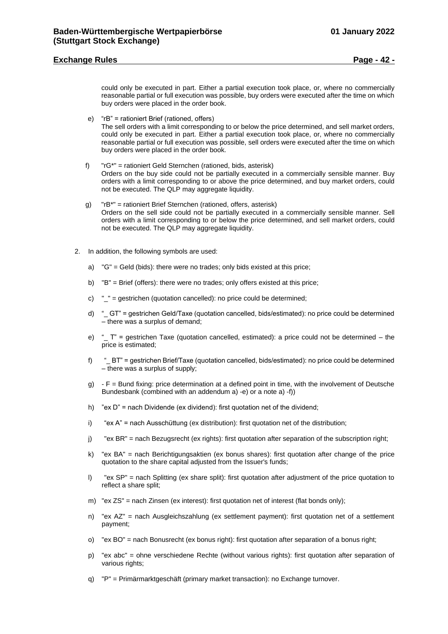# **Exchange Rules Page - 42 -**

could only be executed in part. Either a partial execution took place, or, where no commercially reasonable partial or full execution was possible, buy orders were executed after the time on which buy orders were placed in the order book.

e) "rB" = rationiert Brief (rationed, offers)

The sell orders with a limit corresponding to or below the price determined, and sell market orders, could only be executed in part. Either a partial execution took place, or, where no commercially reasonable partial or full execution was possible, sell orders were executed after the time on which buy orders were placed in the order book.

- f) "rG\*" = rationiert Geld Sternchen (rationed, bids, asterisk) Orders on the buy side could not be partially executed in a commercially sensible manner. Buy orders with a limit corresponding to or above the price determined, and buy market orders, could not be executed. The QLP may aggregate liquidity.
- g) "rB\*" = rationiert Brief Sternchen (rationed, offers, asterisk) Orders on the sell side could not be partially executed in a commercially sensible manner. Sell orders with a limit corresponding to or below the price determined, and sell market orders, could not be executed. The QLP may aggregate liquidity.
- 2. In addition, the following symbols are used:
	- a) "G" = Geld (bids): there were no trades; only bids existed at this price;
	- b) "B" = Brief (offers): there were no trades; only offers existed at this price;
	- c)  $" =$  gestrichen (quotation cancelled): no price could be determined:
	- d) " GT" = gestrichen Geld/Taxe (quotation cancelled, bids/estimated): no price could be determined – there was a surplus of demand;
	- e) "\_ T" = gestrichen Taxe (quotation cancelled, estimated): a price could not be determined the price is estimated;
	- f) " BT" = gestrichen Brief/Taxe (quotation cancelled, bids/estimated): no price could be determined  $-$  there was a surplus of supply;
	- g)  $-F =$  Bund fixing: price determination at a defined point in time, with the involvement of Deutsche Bundesbank (combined with an addendum a) -e) or a note a) -f))
	- h) "ex D" = nach Dividende (ex dividend): first quotation net of the dividend;
	- i) "ex A" = nach Ausschüttung (ex distribution): first quotation net of the distribution;
	- j) "ex BR" = nach Bezugsrecht (ex rights): first quotation after separation of the subscription right;
	- k) "ex BA" = nach Berichtigungsaktien (ex bonus shares): first quotation after change of the price quotation to the share capital adjusted from the Issuer's funds;
	- l) "ex SP" = nach Splitting (ex share split): first quotation after adjustment of the price quotation to reflect a share split;
	- m) "ex ZS" = nach Zinsen (ex interest): first quotation net of interest (flat bonds only);
	- n) "ex AZ" = nach Ausgleichszahlung (ex settlement payment): first quotation net of a settlement payment;
	- o) "ex BO" = nach Bonusrecht (ex bonus right): first quotation after separation of a bonus right;
	- p) "ex abc" = ohne verschiedene Rechte (without various rights): first quotation after separation of various rights;
	- q) "P" = Primärmarktgeschäft (primary market transaction): no Exchange turnover.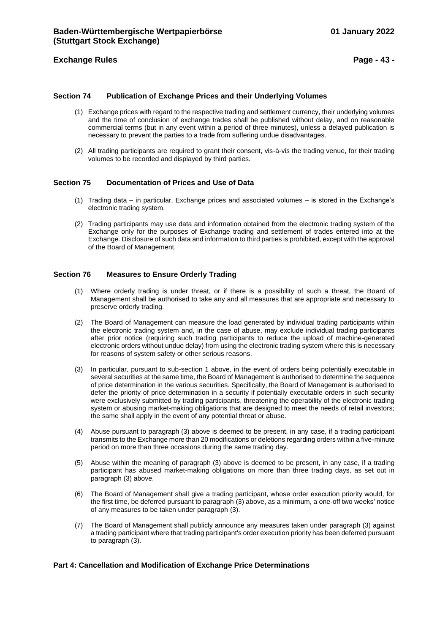# **Exchange Rules Page - 43 -**

# <span id="page-42-0"></span>**Section 74 Publication of Exchange Prices and their Underlying Volumes**

- (1) Exchange prices with regard to the respective trading and settlement currency, their underlying volumes and the time of conclusion of exchange trades shall be published without delay, and on reasonable commercial terms (but in any event within a period of three minutes), unless a delayed publication is necessary to prevent the parties to a trade from suffering undue disadvantages.
- (2) All trading participants are required to grant their consent, vis-à-vis the trading venue, for their trading volumes to be recorded and displayed by third parties.

#### <span id="page-42-1"></span>**Section 75 Documentation of Prices and Use of Data**

- (1) Trading data in particular, Exchange prices and associated volumes is stored in the Exchange's electronic trading system.
- (2) Trading participants may use data and information obtained from the electronic trading system of the Exchange only for the purposes of Exchange trading and settlement of trades entered into at the Exchange. Disclosure of such data and information to third parties is prohibited, except with the approval of the Board of Management.

#### <span id="page-42-2"></span>**Section 76 Measures to Ensure Orderly Trading**

- (1) Where orderly trading is under threat, or if there is a possibility of such a threat, the Board of Management shall be authorised to take any and all measures that are appropriate and necessary to preserve orderly trading.
- (2) The Board of Management can measure the load generated by individual trading participants within the electronic trading system and, in the case of abuse, may exclude individual trading participants after prior notice (requiring such trading participants to reduce the upload of machine-generated electronic orders without undue delay) from using the electronic trading system where this is necessary for reasons of system safety or other serious reasons.
- (3) In particular, pursuant to sub-section 1 above, in the event of orders being potentially executable in several securities at the same time, the Board of Management is authorised to determine the sequence of price determination in the various securities. Specifically, the Board of Management is authorised to defer the priority of price determination in a security if potentially executable orders in such security were exclusively submitted by trading participants, threatening the operability of the electronic trading system or abusing market-making obligations that are designed to meet the needs of retail investors; the same shall apply in the event of any potential threat or abuse.
- (4) Abuse pursuant to paragraph (3) above is deemed to be present, in any case, if a trading participant transmits to the Exchange more than 20 modifications or deletions regarding orders within a five-minute period on more than three occasions during the same trading day.
- (5) Abuse within the meaning of paragraph (3) above is deemed to be present, in any case, if a trading participant has abused market-making obligations on more than three trading days, as set out in paragraph (3) above.
- (6) The Board of Management shall give a trading participant, whose order execution priority would, for the first time, be deferred pursuant to paragraph (3) above, as a minimum, a one-off two weeks' notice of any measures to be taken under paragraph (3).
- (7) The Board of Management shall publicly announce any measures taken under paragraph (3) against a trading participant where that trading participant's order execution priority has been deferred pursuant to paragraph (3).

# <span id="page-42-3"></span>**Part 4: Cancellation and Modification of Exchange Price Determinations**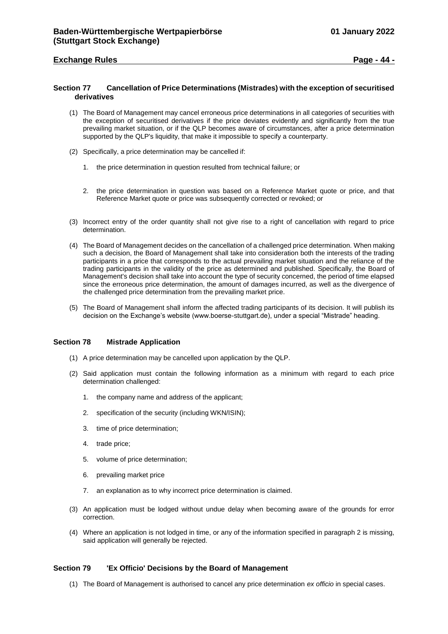# **Exchange Rules Page - 44 -**

#### <span id="page-43-0"></span>**Section 77 Cancellation of Price Determinations (Mistrades) with the exception of securitised derivatives**

- (1) The Board of Management may cancel erroneous price determinations in all categories of securities with the exception of securitised derivatives if the price deviates evidently and significantly from the true prevailing market situation, or if the QLP becomes aware of circumstances, after a price determination supported by the QLP's liquidity, that make it impossible to specify a counterparty.
- (2) Specifically, a price determination may be cancelled if:
	- 1. the price determination in question resulted from technical failure; or
	- 2. the price determination in question was based on a Reference Market quote or price, and that Reference Market quote or price was subsequently corrected or revoked; or
- (3) Incorrect entry of the order quantity shall not give rise to a right of cancellation with regard to price determination.
- (4) The Board of Management decides on the cancellation of a challenged price determination. When making such a decision, the Board of Management shall take into consideration both the interests of the trading participants in a price that corresponds to the actual prevailing market situation and the reliance of the trading participants in the validity of the price as determined and published. Specifically, the Board of Management's decision shall take into account the type of security concerned, the period of time elapsed since the erroneous price determination, the amount of damages incurred, as well as the divergence of the challenged price determination from the prevailing market price.
- (5) The Board of Management shall inform the affected trading participants of its decision. It will publish its decision on the Exchange's website (www.boerse-stuttgart.de), under a special "Mistrade" heading.

#### <span id="page-43-1"></span>**Section 78 Mistrade Application**

- (1) A price determination may be cancelled upon application by the QLP.
- (2) Said application must contain the following information as a minimum with regard to each price determination challenged:
	- 1. the company name and address of the applicant;
	- 2. specification of the security (including WKN/ISIN);
	- 3. time of price determination;
	- 4. trade price;
	- 5. volume of price determination;
	- 6. prevailing market price
	- 7. an explanation as to why incorrect price determination is claimed.
- (3) An application must be lodged without undue delay when becoming aware of the grounds for error correction.
- (4) Where an application is not lodged in time, or any of the information specified in paragraph 2 is missing, said application will generally be rejected.

#### <span id="page-43-2"></span>**Section 79 'Ex Officio' Decisions by the Board of Management**

(1) The Board of Management is authorised to cancel any price determination *ex officio* in special cases.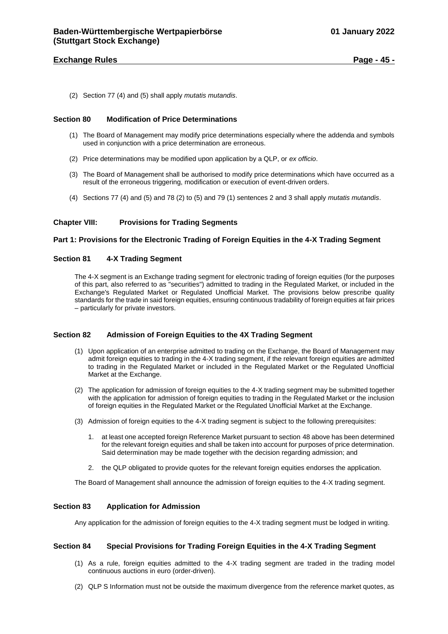(2) Section 77 (4) and (5) shall apply *mutatis mutandis*.

#### <span id="page-44-0"></span>**Section 80 Modification of Price Determinations**

- (1) The Board of Management may modify price determinations especially where the addenda and symbols used in conjunction with a price determination are erroneous.
- (2) Price determinations may be modified upon application by a QLP, or *ex officio*.
- (3) The Board of Management shall be authorised to modify price determinations which have occurred as a result of the erroneous triggering, modification or execution of event-driven orders.
- (4) Sections 77 (4) and (5) and 78 (2) to (5) and 79 (1) sentences 2 and 3 shall apply *mutatis mutandis*.

#### <span id="page-44-1"></span>**Chapter VIII: Provisions for Trading Segments**

#### <span id="page-44-2"></span>**Part 1: Provisions for the Electronic Trading of Foreign Equities in the 4-X Trading Segment**

#### <span id="page-44-3"></span>**Section 81 4-X Trading Segment**

The 4-X segment is an Exchange trading segment for electronic trading of foreign equities (for the purposes of this part, also referred to as "securities") admitted to trading in the Regulated Market, or included in the Exchange's Regulated Market or Regulated Unofficial Market. The provisions below prescribe quality standards for the trade in said foreign equities, ensuring continuous tradability of foreign equities at fair prices – particularly for private investors.

# <span id="page-44-4"></span>**Section 82 Admission of Foreign Equities to the 4X Trading Segment**

- (1) Upon application of an enterprise admitted to trading on the Exchange, the Board of Management may admit foreign equities to trading in the 4-X trading segment, if the relevant foreign equities are admitted to trading in the Regulated Market or included in the Regulated Market or the Regulated Unofficial Market at the Exchange.
- (2) The application for admission of foreign equities to the 4-X trading segment may be submitted together with the application for admission of foreign equities to trading in the Regulated Market or the inclusion of foreign equities in the Regulated Market or the Regulated Unofficial Market at the Exchange.
- (3) Admission of foreign equities to the 4-X trading segment is subject to the following prerequisites:
	- 1. at least one accepted foreign Reference Market pursuant to section 48 above has been determined for the relevant foreign equities and shall be taken into account for purposes of price determination. Said determination may be made together with the decision regarding admission; and
	- 2. the QLP obligated to provide quotes for the relevant foreign equities endorses the application.

The Board of Management shall announce the admission of foreign equities to the 4-X trading segment.

#### <span id="page-44-5"></span>**Section 83 Application for Admission**

Any application for the admission of foreign equities to the 4-X trading segment must be lodged in writing.

#### <span id="page-44-6"></span>**Section 84 Special Provisions for Trading Foreign Equities in the 4-X Trading Segment**

- (1) As a rule, foreign equities admitted to the 4-X trading segment are traded in the trading model continuous auctions in euro (order-driven).
- (2) QLP S Information must not be outside the maximum divergence from the reference market quotes, as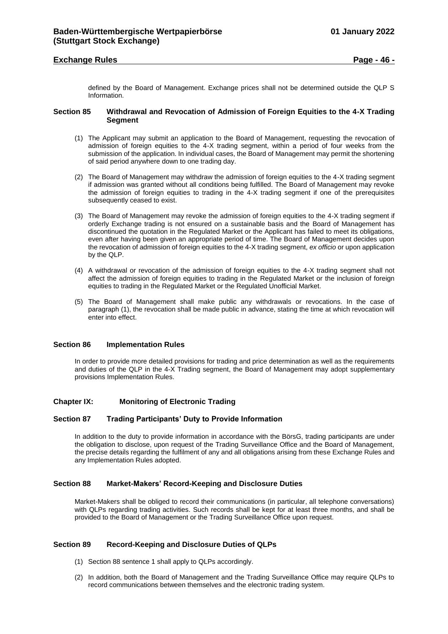# **Exchange Rules Page - 46 -**

defined by the Board of Management. Exchange prices shall not be determined outside the QLP S Information.

#### <span id="page-45-0"></span>**Section 85 Withdrawal and Revocation of Admission of Foreign Equities to the 4-X Trading Segment**

- (1) The Applicant may submit an application to the Board of Management, requesting the revocation of admission of foreign equities to the 4-X trading segment, within a period of four weeks from the submission of the application. In individual cases, the Board of Management may permit the shortening of said period anywhere down to one trading day.
- (2) The Board of Management may withdraw the admission of foreign equities to the 4-X trading segment if admission was granted without all conditions being fulfilled. The Board of Management may revoke the admission of foreign equities to trading in the 4-X trading segment if one of the prerequisites subsequently ceased to exist.
- (3) The Board of Management may revoke the admission of foreign equities to the 4-X trading segment if orderly Exchange trading is not ensured on a sustainable basis and the Board of Management has discontinued the quotation in the Regulated Market or the Applicant has failed to meet its obligations, even after having been given an appropriate period of time. The Board of Management decides upon the revocation of admission of foreign equities to the 4-X trading segment, *ex officio* or upon application by the QLP.
- (4) A withdrawal or revocation of the admission of foreign equities to the 4-X trading segment shall not affect the admission of foreign equities to trading in the Regulated Market or the inclusion of foreign equities to trading in the Regulated Market or the Regulated Unofficial Market.
- (5) The Board of Management shall make public any withdrawals or revocations. In the case of paragraph (1), the revocation shall be made public in advance, stating the time at which revocation will enter into effect.

#### <span id="page-45-1"></span>**Section 86 Implementation Rules**

In order to provide more detailed provisions for trading and price determination as well as the requirements and duties of the QLP in the 4-X Trading segment, the Board of Management may adopt supplementary provisions Implementation Rules.

#### <span id="page-45-2"></span>**Chapter IX: Monitoring of Electronic Trading**

#### <span id="page-45-3"></span>**Section 87 Trading Participants' Duty to Provide Information**

In addition to the duty to provide information in accordance with the BörsG, trading participants are under the obligation to disclose, upon request of the Trading Surveillance Office and the Board of Management, the precise details regarding the fulfilment of any and all obligations arising from these Exchange Rules and any Implementation Rules adopted.

#### <span id="page-45-4"></span>**Section 88 Market-Makers' Record-Keeping and Disclosure Duties**

Market-Makers shall be obliged to record their communications (in particular, all telephone conversations) with QLPs regarding trading activities. Such records shall be kept for at least three months, and shall be provided to the Board of Management or the Trading Surveillance Office upon request.

#### <span id="page-45-5"></span>**Section 89 Record-Keeping and Disclosure Duties of QLPs**

- (1) Section 88 sentence 1 shall apply to QLPs accordingly.
- (2) In addition, both the Board of Management and the Trading Surveillance Office may require QLPs to record communications between themselves and the electronic trading system.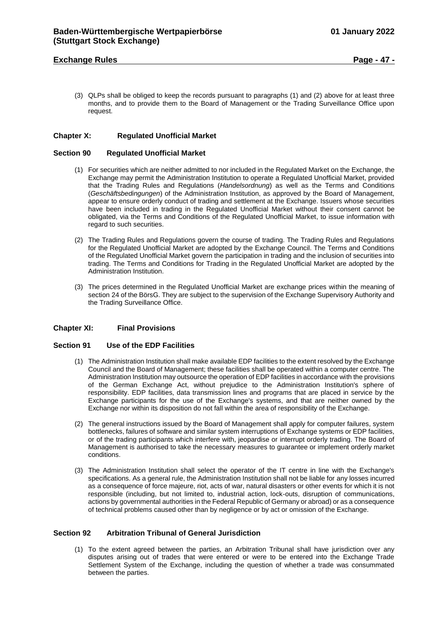# **Exchange Rules Page - 47 -**

(3) QLPs shall be obliged to keep the records pursuant to paragraphs (1) and (2) above for at least three months, and to provide them to the Board of Management or the Trading Surveillance Office upon request.

#### <span id="page-46-0"></span>**Chapter X: Regulated Unofficial Market**

# <span id="page-46-1"></span>**Section 90 Regulated Unofficial Market**

- (1) For securities which are neither admitted to nor included in the Regulated Market on the Exchange, the Exchange may permit the Administration Institution to operate a Regulated Unofficial Market, provided that the Trading Rules and Regulations (*Handelsordnung*) as well as the Terms and Conditions (*Geschäftsbedingungen*) of the Administration Institution, as approved by the Board of Management, appear to ensure orderly conduct of trading and settlement at the Exchange. Issuers whose securities have been included in trading in the Regulated Unofficial Market without their consent cannot be obligated, via the Terms and Conditions of the Regulated Unofficial Market, to issue information with regard to such securities.
- (2) The Trading Rules and Regulations govern the course of trading. The Trading Rules and Regulations for the Regulated Unofficial Market are adopted by the Exchange Council. The Terms and Conditions of the Regulated Unofficial Market govern the participation in trading and the inclusion of securities into trading. The Terms and Conditions for Trading in the Regulated Unofficial Market are adopted by the Administration Institution.
- (3) The prices determined in the Regulated Unofficial Market are exchange prices within the meaning of section 24 of the BörsG. They are subject to the supervision of the Exchange Supervisory Authority and the Trading Surveillance Office.

# <span id="page-46-2"></span>**Chapter XI: Final Provisions**

#### <span id="page-46-3"></span>**Section 91 Use of the EDP Facilities**

- (1) The Administration Institution shall make available EDP facilities to the extent resolved by the Exchange Council and the Board of Management; these facilities shall be operated within a computer centre. The Administration Institution may outsource the operation of EDP facilities in accordance with the provisions of the German Exchange Act, without prejudice to the Administration Institution's sphere of responsibility. EDP facilities, data transmission lines and programs that are placed in service by the Exchange participants for the use of the Exchange's systems, and that are neither owned by the Exchange nor within its disposition do not fall within the area of responsibility of the Exchange.
- (2) The general instructions issued by the Board of Management shall apply for computer failures, system bottlenecks, failures of software and similar system interruptions of Exchange systems or EDP facilities, or of the trading participants which interfere with, jeopardise or interrupt orderly trading. The Board of Management is authorised to take the necessary measures to guarantee or implement orderly market conditions.
- (3) The Administration Institution shall select the operator of the IT centre in line with the Exchange's specifications. As a general rule, the Administration Institution shall not be liable for any losses incurred as a consequence of force majeure, riot, acts of war, natural disasters or other events for which it is not responsible (including, but not limited to, industrial action, lock-outs, disruption of communications, actions by governmental authorities in the Federal Republic of Germany or abroad) or as a consequence of technical problems caused other than by negligence or by act or omission of the Exchange.

#### <span id="page-46-4"></span>**Section 92 Arbitration Tribunal of General Jurisdiction**

(1) To the extent agreed between the parties, an Arbitration Tribunal shall have jurisdiction over any disputes arising out of trades that were entered or were to be entered into the Exchange Trade Settlement System of the Exchange, including the question of whether a trade was consummated between the parties.